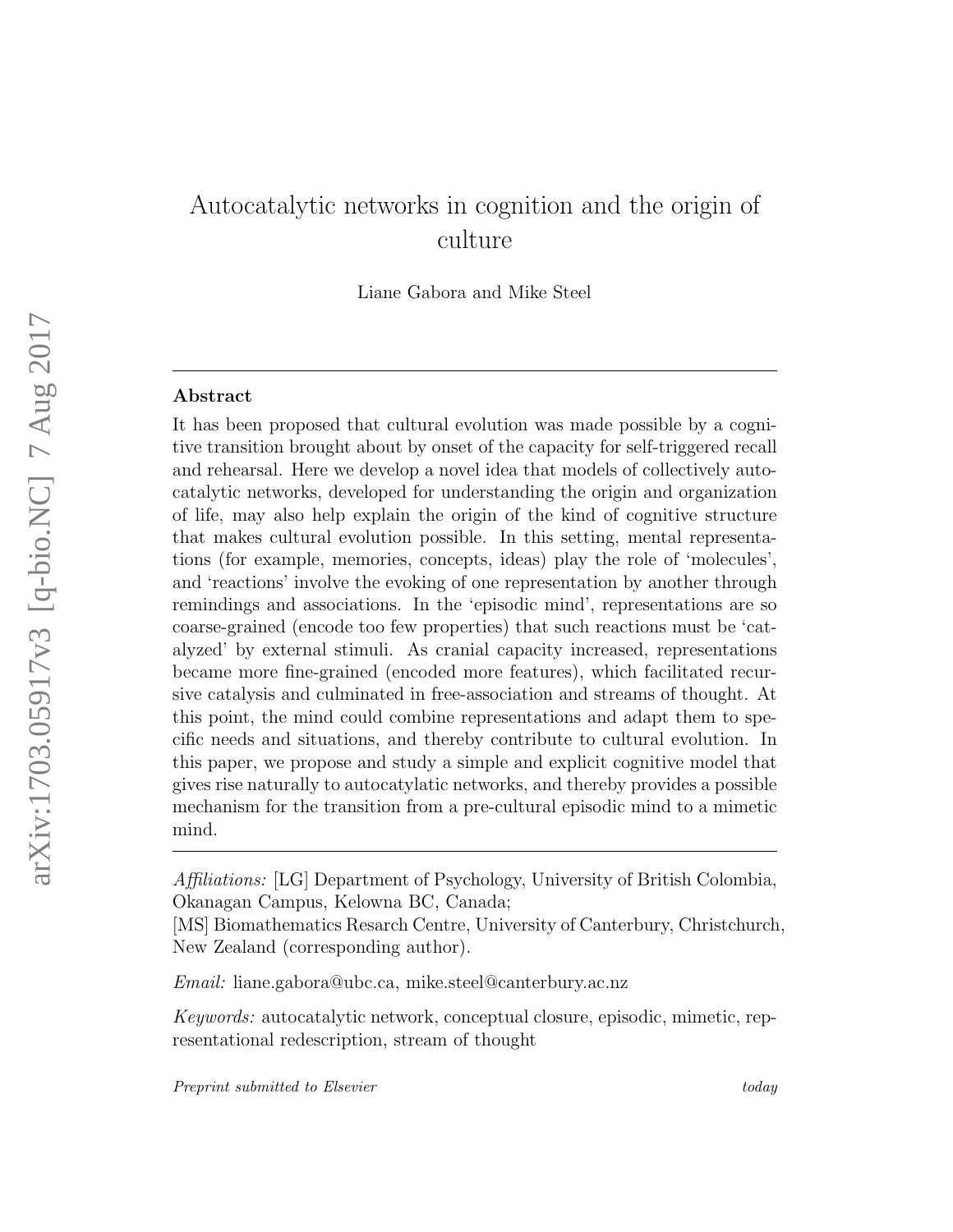# Autocatalytic networks in cognition and the origin of culture

Liane Gabora and Mike Steel

# Abstract

It has been proposed that cultural evolution was made possible by a cognitive transition brought about by onset of the capacity for self-triggered recall and rehearsal. Here we develop a novel idea that models of collectively autocatalytic networks, developed for understanding the origin and organization of life, may also help explain the origin of the kind of cognitive structure that makes cultural evolution possible. In this setting, mental representations (for example, memories, concepts, ideas) play the role of 'molecules', and 'reactions' involve the evoking of one representation by another through remindings and associations. In the 'episodic mind', representations are so coarse-grained (encode too few properties) that such reactions must be 'catalyzed' by external stimuli. As cranial capacity increased, representations became more fine-grained (encoded more features), which facilitated recursive catalysis and culminated in free-association and streams of thought. At this point, the mind could combine representations and adapt them to specific needs and situations, and thereby contribute to cultural evolution. In this paper, we propose and study a simple and explicit cognitive model that gives rise naturally to autocatylatic networks, and thereby provides a possible mechanism for the transition from a pre-cultural episodic mind to a mimetic mind.

Affiliations: [LG] Department of Psychology, University of British Colombia, Okanagan Campus, Kelowna BC, Canada;

[MS] Biomathematics Resarch Centre, University of Canterbury, Christchurch, New Zealand (corresponding author).

Email: liane.gabora@ubc.ca, mike.steel@canterbury.ac.nz

Keywords: autocatalytic network, conceptual closure, episodic, mimetic, representational redescription, stream of thought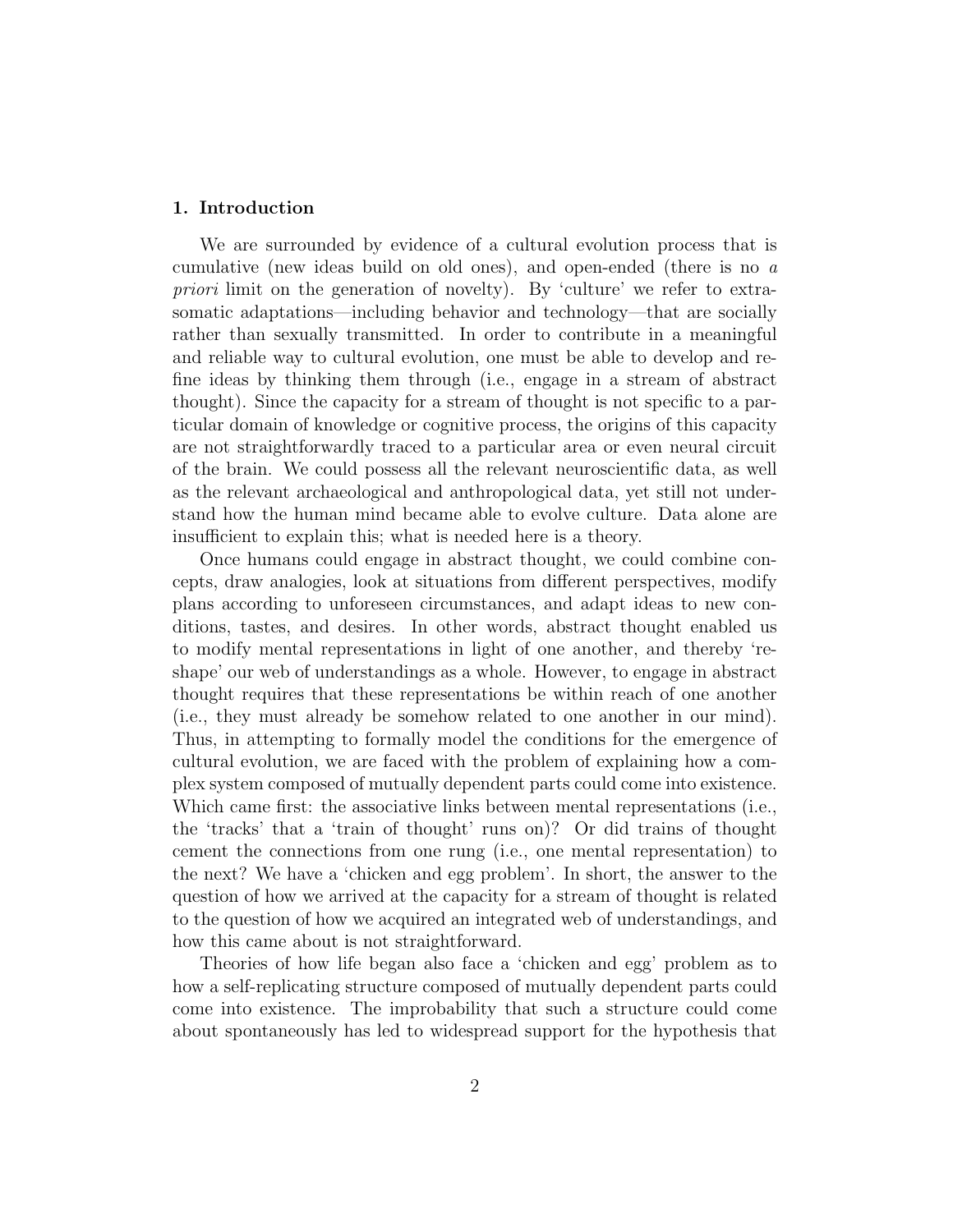# 1. Introduction

We are surrounded by evidence of a cultural evolution process that is cumulative (new ideas build on old ones), and open-ended (there is no a priori limit on the generation of novelty). By 'culture' we refer to extrasomatic adaptations—including behavior and technology—that are socially rather than sexually transmitted. In order to contribute in a meaningful and reliable way to cultural evolution, one must be able to develop and refine ideas by thinking them through (i.e., engage in a stream of abstract thought). Since the capacity for a stream of thought is not specific to a particular domain of knowledge or cognitive process, the origins of this capacity are not straightforwardly traced to a particular area or even neural circuit of the brain. We could possess all the relevant neuroscientific data, as well as the relevant archaeological and anthropological data, yet still not understand how the human mind became able to evolve culture. Data alone are insufficient to explain this; what is needed here is a theory.

Once humans could engage in abstract thought, we could combine concepts, draw analogies, look at situations from different perspectives, modify plans according to unforeseen circumstances, and adapt ideas to new conditions, tastes, and desires. In other words, abstract thought enabled us to modify mental representations in light of one another, and thereby 'reshape' our web of understandings as a whole. However, to engage in abstract thought requires that these representations be within reach of one another (i.e., they must already be somehow related to one another in our mind). Thus, in attempting to formally model the conditions for the emergence of cultural evolution, we are faced with the problem of explaining how a complex system composed of mutually dependent parts could come into existence. Which came first: the associative links between mental representations (i.e., the 'tracks' that a 'train of thought' runs on)? Or did trains of thought cement the connections from one rung (i.e., one mental representation) to the next? We have a 'chicken and egg problem'. In short, the answer to the question of how we arrived at the capacity for a stream of thought is related to the question of how we acquired an integrated web of understandings, and how this came about is not straightforward.

Theories of how life began also face a 'chicken and egg' problem as to how a self-replicating structure composed of mutually dependent parts could come into existence. The improbability that such a structure could come about spontaneously has led to widespread support for the hypothesis that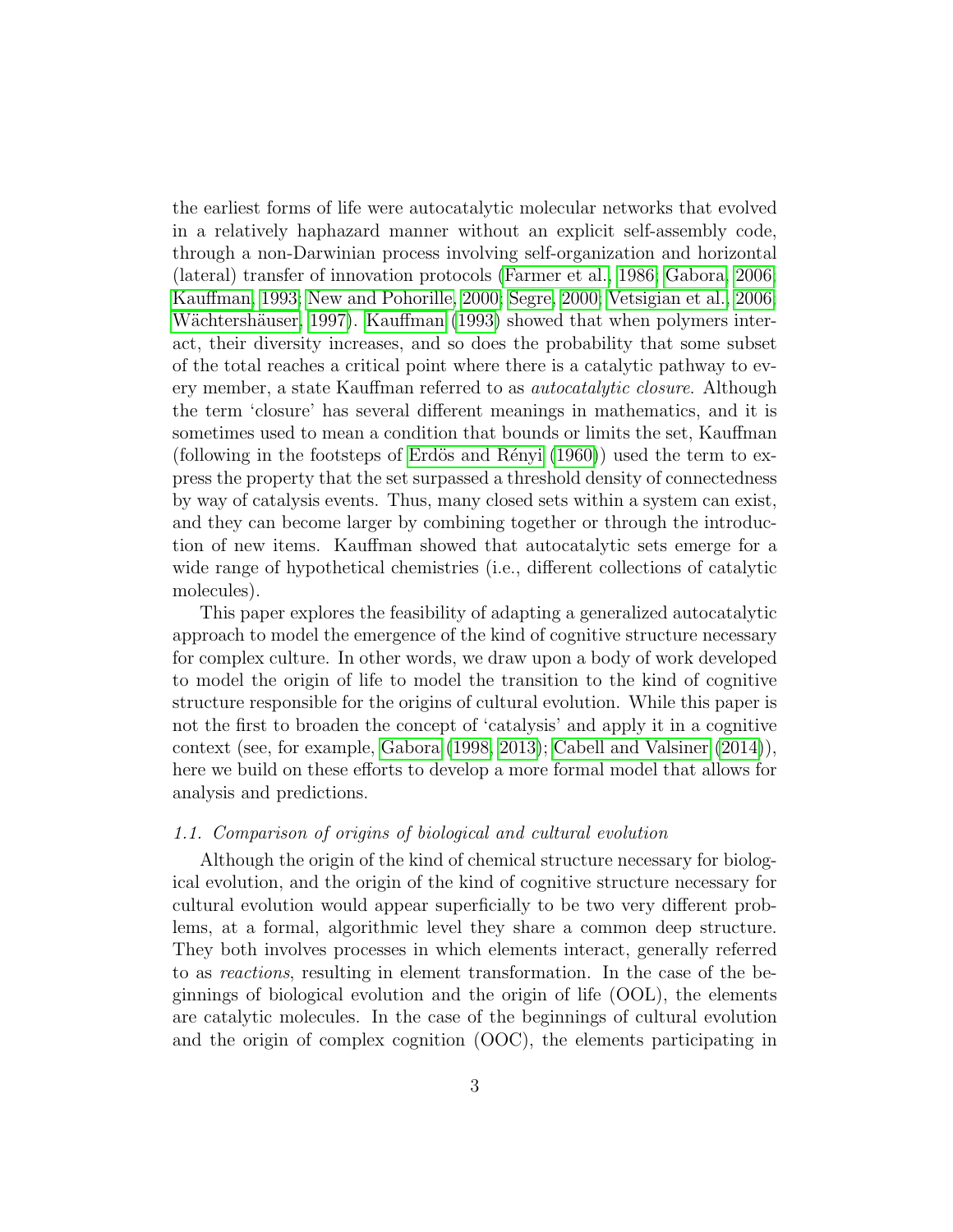the earliest forms of life were autocatalytic molecular networks that evolved in a relatively haphazard manner without an explicit self-assembly code, through a non-Darwinian process involving self-organization and horizontal (lateral) transfer of innovation protocols [\(Farmer et al., 1986;](#page-23-0) [Gabora, 2006;](#page-23-1) [Kauffman, 1993;](#page-25-0) [New and Pohorille, 2000;](#page-25-1) [Segre, 2000;](#page-26-0) [Vetsigian et al., 2006;](#page-26-1) Wächtershäuser, 1997). [Kauffman](#page-25-0) [\(1993\)](#page-25-0) showed that when polymers interact, their diversity increases, and so does the probability that some subset of the total reaches a critical point where there is a catalytic pathway to every member, a state Kauffman referred to as autocatalytic closure. Although the term 'closure' has several different meanings in mathematics, and it is sometimes used to mean a condition that bounds or limits the set, Kauffman (following in the footsteps of Erdös and Rényi  $(1960)$ ) used the term to express the property that the set surpassed a threshold density of connectedness by way of catalysis events. Thus, many closed sets within a system can exist, and they can become larger by combining together or through the introduction of new items. Kauffman showed that autocatalytic sets emerge for a wide range of hypothetical chemistries (i.e., different collections of catalytic molecules).

This paper explores the feasibility of adapting a generalized autocatalytic approach to model the emergence of the kind of cognitive structure necessary for complex culture. In other words, we draw upon a body of work developed to model the origin of life to model the transition to the kind of cognitive structure responsible for the origins of cultural evolution. While this paper is not the first to broaden the concept of 'catalysis' and apply it in a cognitive context (see, for example, [Gabora](#page-23-3) [\(1998,](#page-23-3) [2013\)](#page-23-4); [Cabell and Valsiner](#page-22-0) [\(2014\)](#page-22-0)), here we build on these efforts to develop a more formal model that allows for analysis and predictions.

# 1.1. Comparison of origins of biological and cultural evolution

Although the origin of the kind of chemical structure necessary for biological evolution, and the origin of the kind of cognitive structure necessary for cultural evolution would appear superficially to be two very different problems, at a formal, algorithmic level they share a common deep structure. They both involves processes in which elements interact, generally referred to as reactions, resulting in element transformation. In the case of the beginnings of biological evolution and the origin of life (OOL), the elements are catalytic molecules. In the case of the beginnings of cultural evolution and the origin of complex cognition (OOC), the elements participating in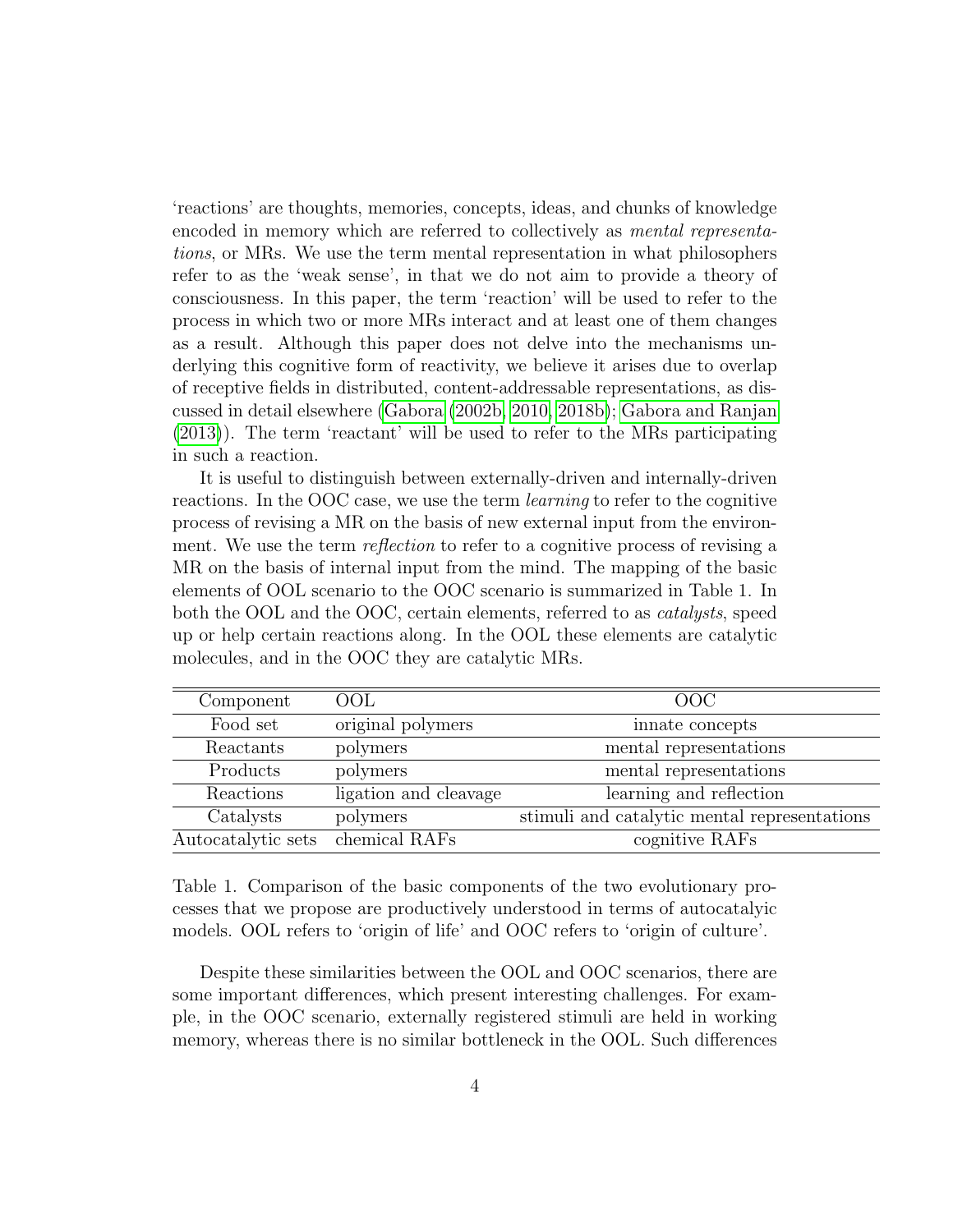'reactions' are thoughts, memories, concepts, ideas, and chunks of knowledge encoded in memory which are referred to collectively as mental representations, or MRs. We use the term mental representation in what philosophers refer to as the 'weak sense', in that we do not aim to provide a theory of consciousness. In this paper, the term 'reaction' will be used to refer to the process in which two or more MRs interact and at least one of them changes as a result. Although this paper does not delve into the mechanisms underlying this cognitive form of reactivity, we believe it arises due to overlap of receptive fields in distributed, content-addressable representations, as discussed in detail elsewhere [\(Gabora](#page-23-5) [\(2002b,](#page-23-5) [2010,](#page-23-6) [2018b\)](#page-23-7); [Gabora and Ranjan](#page-24-0) [\(2013\)](#page-24-0)). The term 'reactant' will be used to refer to the MRs participating in such a reaction.

It is useful to distinguish between externally-driven and internally-driven reactions. In the OOC case, we use the term *learning* to refer to the cognitive process of revising a MR on the basis of new external input from the environment. We use the term *reflection* to refer to a cognitive process of revising a MR on the basis of internal input from the mind. The mapping of the basic elements of OOL scenario to the OOC scenario is summarized in Table 1. In both the OOL and the OOC, certain elements, referred to as *catalysts*, speed up or help certain reactions along. In the OOL these elements are catalytic molecules, and in the OOC they are catalytic MRs.

| Component          | OOL                   | OOC                                          |  |  |
|--------------------|-----------------------|----------------------------------------------|--|--|
| Food set           | original polymers     | innate concepts                              |  |  |
| Reactants          | polymers              | mental representations                       |  |  |
| Products           | polymers              | mental representations                       |  |  |
| Reactions          | ligation and cleavage | learning and reflection                      |  |  |
| Catalysts          | polymers              | stimuli and catalytic mental representations |  |  |
| Autocatalytic sets | chemical RAFs         | cognitive RAFs                               |  |  |
|                    |                       |                                              |  |  |

Table 1. Comparison of the basic components of the two evolutionary processes that we propose are productively understood in terms of autocatalyic models. OOL refers to 'origin of life' and OOC refers to 'origin of culture'.

Despite these similarities between the OOL and OOC scenarios, there are some important differences, which present interesting challenges. For example, in the OOC scenario, externally registered stimuli are held in working memory, whereas there is no similar bottleneck in the OOL. Such differences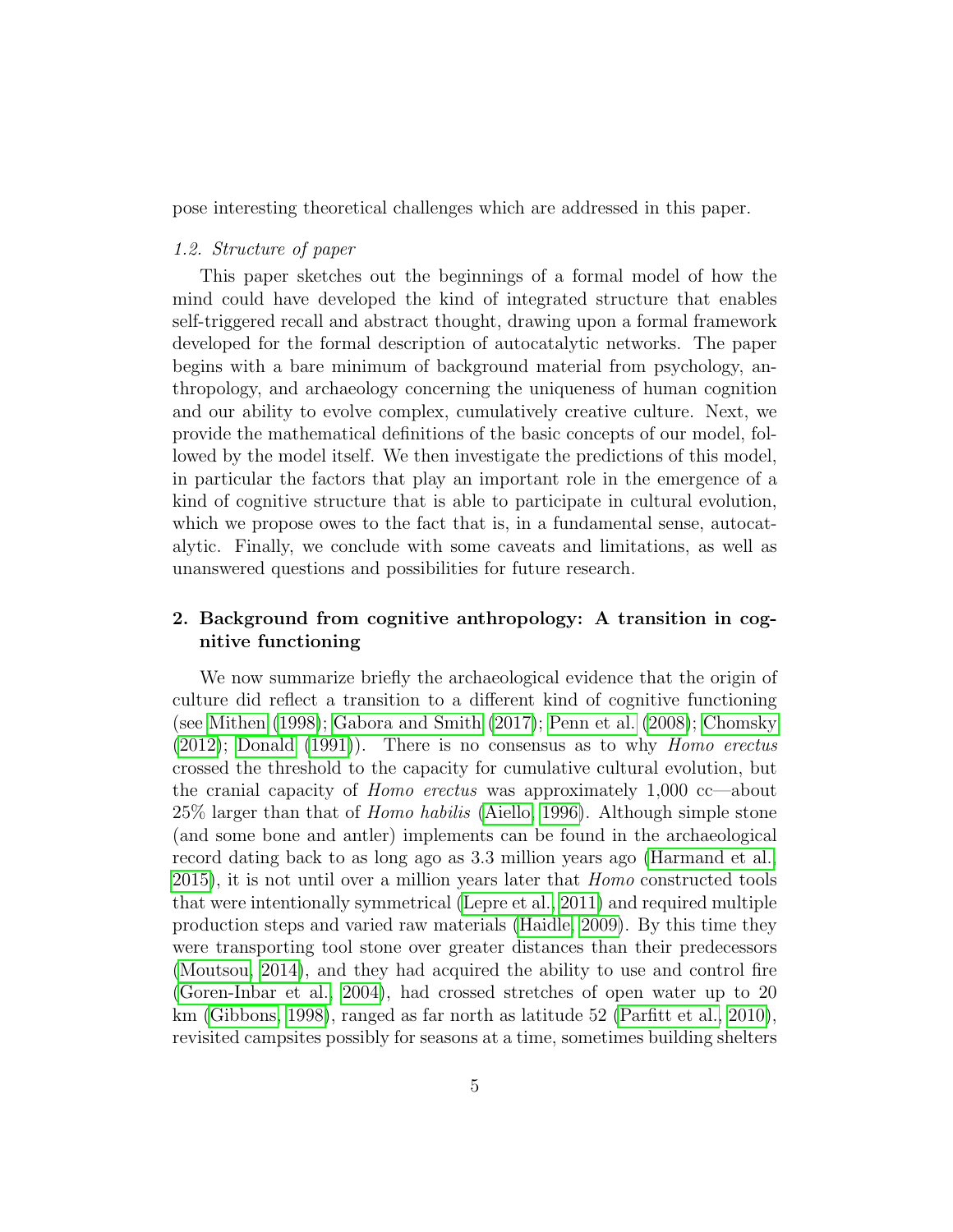pose interesting theoretical challenges which are addressed in this paper.

#### 1.2. Structure of paper

This paper sketches out the beginnings of a formal model of how the mind could have developed the kind of integrated structure that enables self-triggered recall and abstract thought, drawing upon a formal framework developed for the formal description of autocatalytic networks. The paper begins with a bare minimum of background material from psychology, anthropology, and archaeology concerning the uniqueness of human cognition and our ability to evolve complex, cumulatively creative culture. Next, we provide the mathematical definitions of the basic concepts of our model, followed by the model itself. We then investigate the predictions of this model, in particular the factors that play an important role in the emergence of a kind of cognitive structure that is able to participate in cultural evolution, which we propose owes to the fact that is, in a fundamental sense, autocatalytic. Finally, we conclude with some caveats and limitations, as well as unanswered questions and possibilities for future research.

# 2. Background from cognitive anthropology: A transition in cognitive functioning

We now summarize briefly the archaeological evidence that the origin of culture did reflect a transition to a different kind of cognitive functioning (see [Mithen](#page-25-2) [\(1998\)](#page-25-2); [Gabora and Smith](#page-24-1) [\(2017\)](#page-24-1); [Penn et al.](#page-26-3) [\(2008\)](#page-26-3); [Chomsky](#page-22-1)  $(2012)$ ; [Donald](#page-22-2)  $(1991)$ ). There is no consensus as to why *Homo erectus* crossed the threshold to the capacity for cumulative cultural evolution, but the cranial capacity of Homo erectus was approximately 1,000 cc—about 25% larger than that of Homo habilis [\(Aiello, 1996\)](#page-22-3). Although simple stone (and some bone and antler) implements can be found in the archaeological record dating back to as long ago as 3.3 million years ago [\(Harmand et al.,](#page-24-2) [2015\)](#page-24-2), it is not until over a million years later that Homo constructed tools that were intentionally symmetrical [\(Lepre et al., 2011\)](#page-25-3) and required multiple production steps and varied raw materials [\(Haidle, 2009\)](#page-24-3). By this time they were transporting tool stone over greater distances than their predecessors [\(Moutsou, 2014\)](#page-25-4), and they had acquired the ability to use and control fire [\(Goren-Inbar et al., 2004\)](#page-24-4), had crossed stretches of open water up to 20 km [\(Gibbons, 1998\)](#page-24-5), ranged as far north as latitude 52 [\(Parfitt et al., 2010\)](#page-26-4), revisited campsites possibly for seasons at a time, sometimes building shelters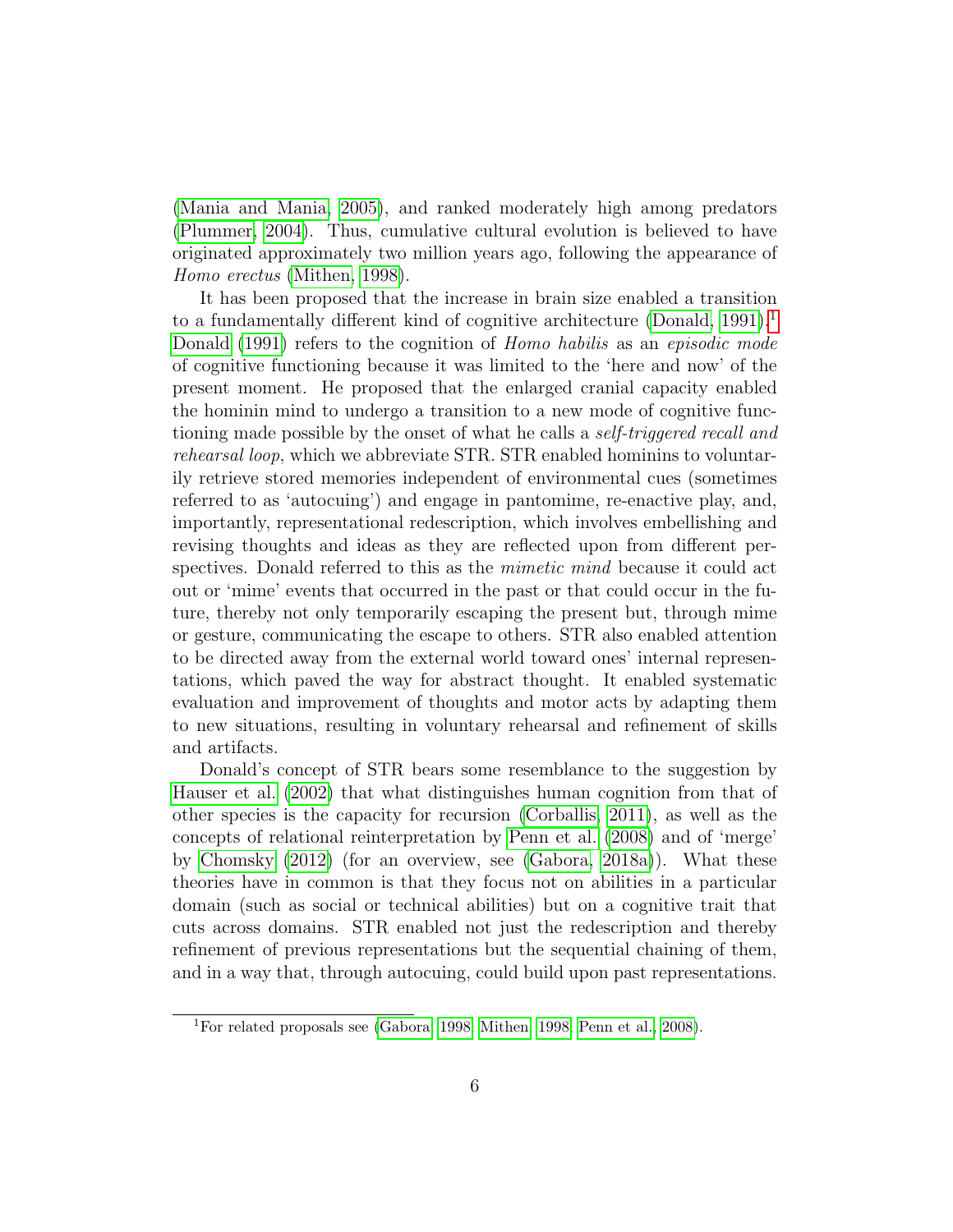[\(Mania and Mania, 2005\)](#page-25-5), and ranked moderately high among predators [\(Plummer, 2004\)](#page-26-5). Thus, cumulative cultural evolution is believed to have originated approximately two million years ago, following the appearance of Homo erectus [\(Mithen, 1998\)](#page-25-2).

It has been proposed that the increase in brain size enabled a transition to a fundamentally different kind of cognitive architecture [\(Donald, 1991\)](#page-22-2).<sup>[1](#page-5-0)</sup> [Donald](#page-22-2) [\(1991\)](#page-22-2) refers to the cognition of *Homo habilis* as an *episodic mode* of cognitive functioning because it was limited to the 'here and now' of the present moment. He proposed that the enlarged cranial capacity enabled the hominin mind to undergo a transition to a new mode of cognitive functioning made possible by the onset of what he calls a self-triggered recall and rehearsal loop, which we abbreviate STR. STR enabled hominins to voluntarily retrieve stored memories independent of environmental cues (sometimes referred to as 'autocuing') and engage in pantomime, re-enactive play, and, importantly, representational redescription, which involves embellishing and revising thoughts and ideas as they are reflected upon from different perspectives. Donald referred to this as the *mimetic mind* because it could act out or 'mime' events that occurred in the past or that could occur in the future, thereby not only temporarily escaping the present but, through mime or gesture, communicating the escape to others. STR also enabled attention to be directed away from the external world toward ones' internal representations, which paved the way for abstract thought. It enabled systematic evaluation and improvement of thoughts and motor acts by adapting them to new situations, resulting in voluntary rehearsal and refinement of skills and artifacts.

Donald's concept of STR bears some resemblance to the suggestion by [Hauser et al.](#page-24-6) [\(2002\)](#page-24-6) that what distinguishes human cognition from that of other species is the capacity for recursion [\(Corballis, 2011\)](#page-22-4), as well as the concepts of relational reinterpretation by [Penn et al.](#page-26-3) [\(2008\)](#page-26-3) and of 'merge' by [Chomsky](#page-22-1) [\(2012\)](#page-22-1) (for an overview, see [\(Gabora, 2018a\)](#page-23-8)). What these theories have in common is that they focus not on abilities in a particular domain (such as social or technical abilities) but on a cognitive trait that cuts across domains. STR enabled not just the redescription and thereby refinement of previous representations but the sequential chaining of them, and in a way that, through autocuing, could build upon past representations.

<span id="page-5-0"></span><sup>1</sup>For related proposals see [\(Gabora, 1998;](#page-23-3) [Mithen, 1998;](#page-25-2) [Penn et al., 2008\)](#page-26-3).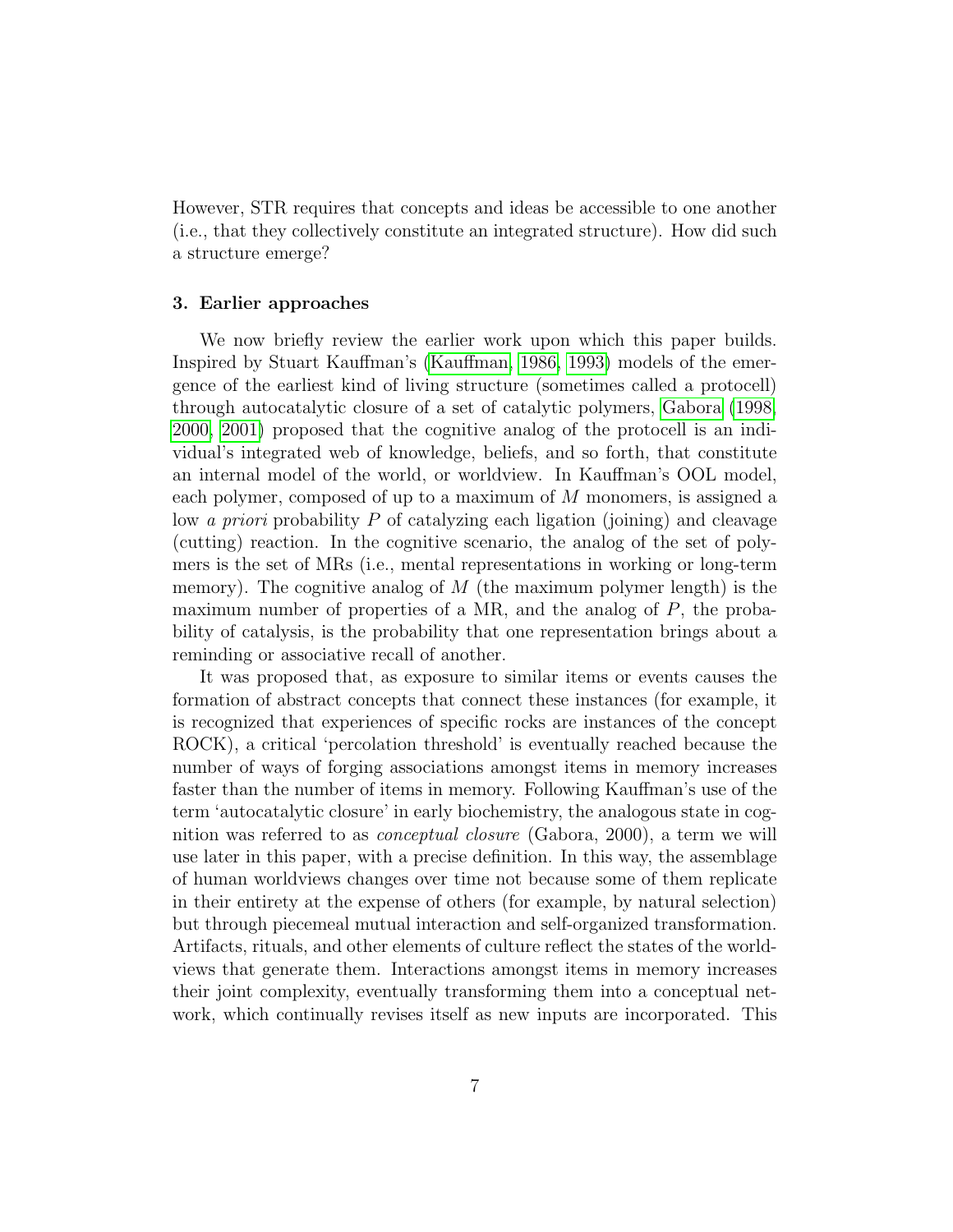However, STR requires that concepts and ideas be accessible to one another (i.e., that they collectively constitute an integrated structure). How did such a structure emerge?

#### <span id="page-6-0"></span>3. Earlier approaches

We now briefly review the earlier work upon which this paper builds. Inspired by Stuart Kauffman's [\(Kauffman, 1986,](#page-25-6) [1993\)](#page-25-0) models of the emergence of the earliest kind of living structure (sometimes called a protocell) through autocatalytic closure of a set of catalytic polymers, [Gabora](#page-23-3) [\(1998,](#page-23-3) [2000,](#page-23-9) [2001\)](#page-23-10) proposed that the cognitive analog of the protocell is an individual's integrated web of knowledge, beliefs, and so forth, that constitute an internal model of the world, or worldview. In Kauffman's OOL model, each polymer, composed of up to a maximum of M monomers, is assigned a low a priori probability P of catalyzing each ligation (joining) and cleavage (cutting) reaction. In the cognitive scenario, the analog of the set of polymers is the set of MRs (i.e., mental representations in working or long-term memory). The cognitive analog of  $M$  (the maximum polymer length) is the maximum number of properties of a MR, and the analog of  $P$ , the probability of catalysis, is the probability that one representation brings about a reminding or associative recall of another.

It was proposed that, as exposure to similar items or events causes the formation of abstract concepts that connect these instances (for example, it is recognized that experiences of specific rocks are instances of the concept ROCK), a critical 'percolation threshold' is eventually reached because the number of ways of forging associations amongst items in memory increases faster than the number of items in memory. Following Kauffman's use of the term 'autocatalytic closure' in early biochemistry, the analogous state in cognition was referred to as conceptual closure (Gabora, 2000), a term we will use later in this paper, with a precise definition. In this way, the assemblage of human worldviews changes over time not because some of them replicate in their entirety at the expense of others (for example, by natural selection) but through piecemeal mutual interaction and self-organized transformation. Artifacts, rituals, and other elements of culture reflect the states of the worldviews that generate them. Interactions amongst items in memory increases their joint complexity, eventually transforming them into a conceptual network, which continually revises itself as new inputs are incorporated. This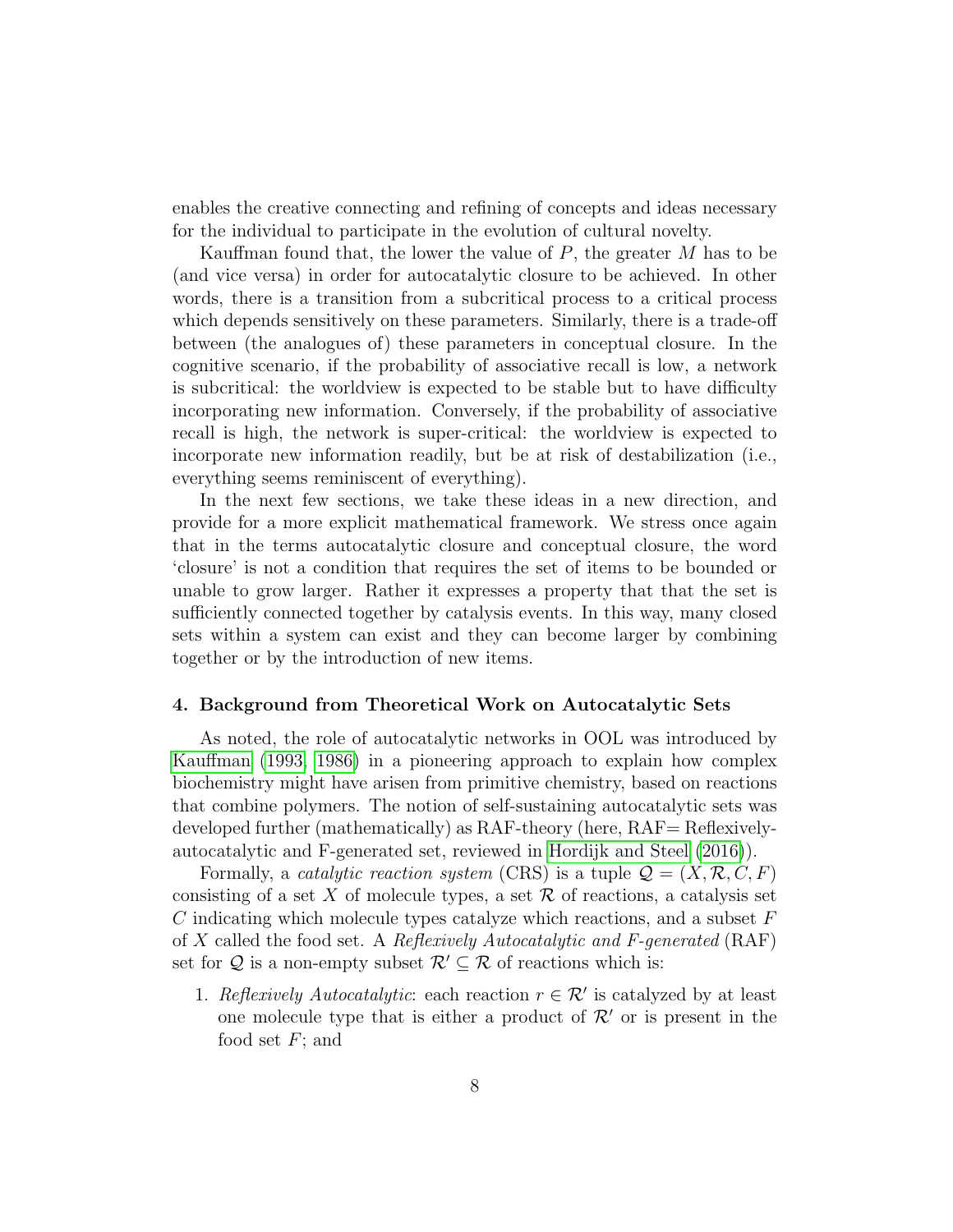enables the creative connecting and refining of concepts and ideas necessary for the individual to participate in the evolution of cultural novelty.

Kauffman found that, the lower the value of  $P$ , the greater  $M$  has to be (and vice versa) in order for autocatalytic closure to be achieved. In other words, there is a transition from a subcritical process to a critical process which depends sensitively on these parameters. Similarly, there is a trade-off between (the analogues of) these parameters in conceptual closure. In the cognitive scenario, if the probability of associative recall is low, a network is subcritical: the worldview is expected to be stable but to have difficulty incorporating new information. Conversely, if the probability of associative recall is high, the network is super-critical: the worldview is expected to incorporate new information readily, but be at risk of destabilization (i.e., everything seems reminiscent of everything).

In the next few sections, we take these ideas in a new direction, and provide for a more explicit mathematical framework. We stress once again that in the terms autocatalytic closure and conceptual closure, the word 'closure' is not a condition that requires the set of items to be bounded or unable to grow larger. Rather it expresses a property that that the set is sufficiently connected together by catalysis events. In this way, many closed sets within a system can exist and they can become larger by combining together or by the introduction of new items.

#### <span id="page-7-0"></span>4. Background from Theoretical Work on Autocatalytic Sets

As noted, the role of autocatalytic networks in OOL was introduced by [Kauffman](#page-25-0) [\(1993,](#page-25-0) [1986\)](#page-25-6) in a pioneering approach to explain how complex biochemistry might have arisen from primitive chemistry, based on reactions that combine polymers. The notion of self-sustaining autocatalytic sets was developed further (mathematically) as RAF-theory (here, RAF= Reflexivelyautocatalytic and F-generated set, reviewed in [Hordijk and Steel](#page-25-7) [\(2016\)](#page-25-7)).

Formally, a *catalytic reaction system* (CRS) is a tuple  $\mathcal{Q} = (X, \mathcal{R}, C, F)$ consisting of a set X of molecule types, a set  $\mathcal R$  of reactions, a catalysis set  $C$  indicating which molecule types catalyze which reactions, and a subset  $F$ of X called the food set. A Reflexively Autocatalytic and  $F$ -generated (RAF) set for Q is a non-empty subset  $\mathcal{R}' \subseteq \mathcal{R}$  of reactions which is:

1. Reflexively Autocatalytic: each reaction  $r \in \mathcal{R}'$  is catalyzed by at least one molecule type that is either a product of  $\mathcal{R}'$  or is present in the food set  $F$ ; and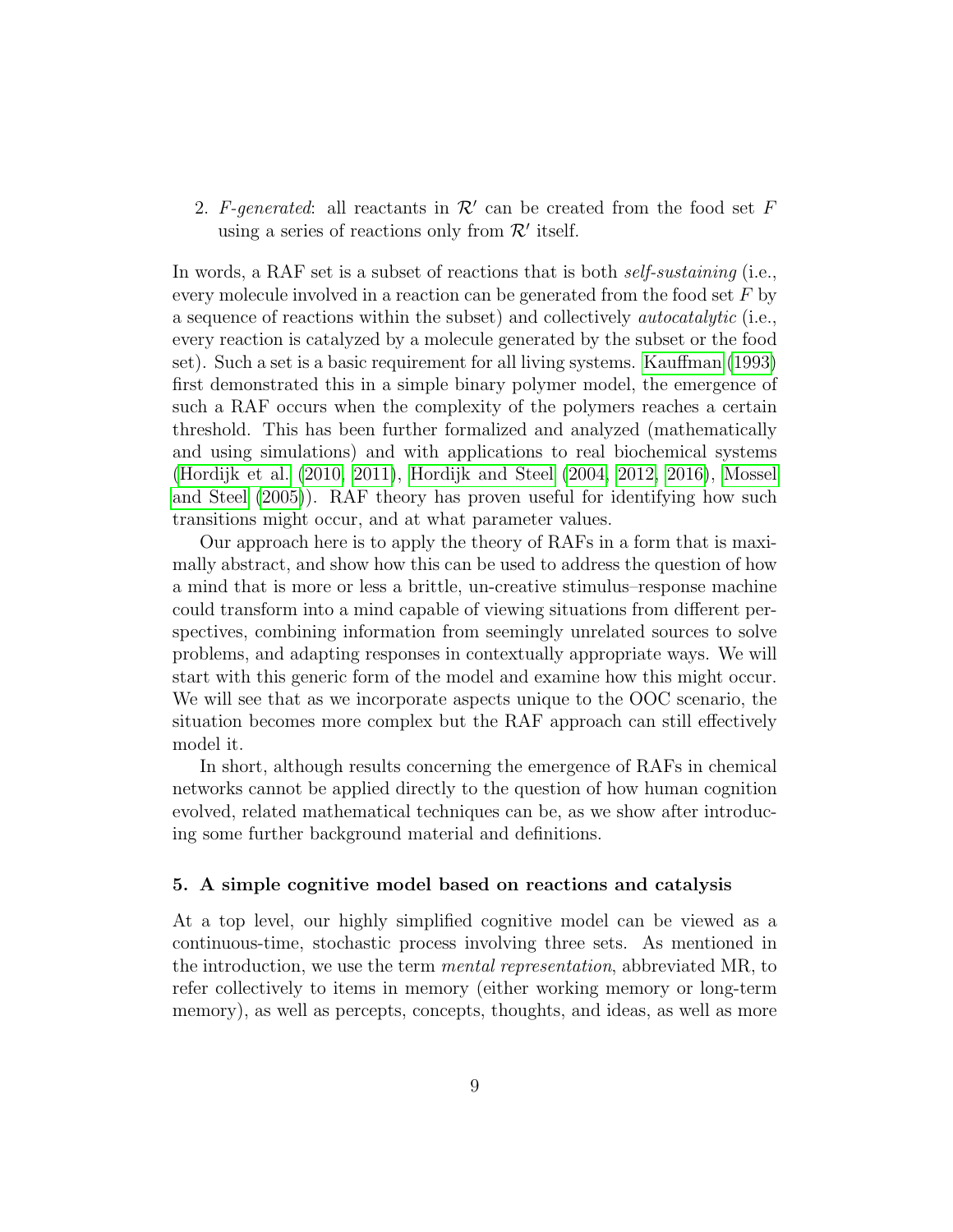2. F-generated: all reactants in  $\mathcal{R}'$  can be created from the food set F using a series of reactions only from  $\mathcal{R}'$  itself.

In words, a RAF set is a subset of reactions that is both self-sustaining (i.e., every molecule involved in a reaction can be generated from the food set  $F$  by a sequence of reactions within the subset) and collectively autocatalytic (i.e., every reaction is catalyzed by a molecule generated by the subset or the food set). Such a set is a basic requirement for all living systems. [Kauffman](#page-25-0) [\(1993\)](#page-25-0) first demonstrated this in a simple binary polymer model, the emergence of such a RAF occurs when the complexity of the polymers reaches a certain threshold. This has been further formalized and analyzed (mathematically and using simulations) and with applications to real biochemical systems [\(Hordijk et al.](#page-24-7) [\(2010,](#page-24-7) [2011\)](#page-25-8), [Hordijk and Steel](#page-25-9) [\(2004,](#page-25-9) [2012,](#page-25-10) [2016\)](#page-25-7), [Mossel](#page-25-11) [and Steel](#page-25-11) [\(2005\)](#page-25-11)). RAF theory has proven useful for identifying how such transitions might occur, and at what parameter values.

Our approach here is to apply the theory of RAFs in a form that is maximally abstract, and show how this can be used to address the question of how a mind that is more or less a brittle, un-creative stimulus–response machine could transform into a mind capable of viewing situations from different perspectives, combining information from seemingly unrelated sources to solve problems, and adapting responses in contextually appropriate ways. We will start with this generic form of the model and examine how this might occur. We will see that as we incorporate aspects unique to the OOC scenario, the situation becomes more complex but the RAF approach can still effectively model it.

In short, although results concerning the emergence of RAFs in chemical networks cannot be applied directly to the question of how human cognition evolved, related mathematical techniques can be, as we show after introducing some further background material and definitions.

# 5. A simple cognitive model based on reactions and catalysis

At a top level, our highly simplified cognitive model can be viewed as a continuous-time, stochastic process involving three sets. As mentioned in the introduction, we use the term mental representation, abbreviated MR, to refer collectively to items in memory (either working memory or long-term memory), as well as percepts, concepts, thoughts, and ideas, as well as more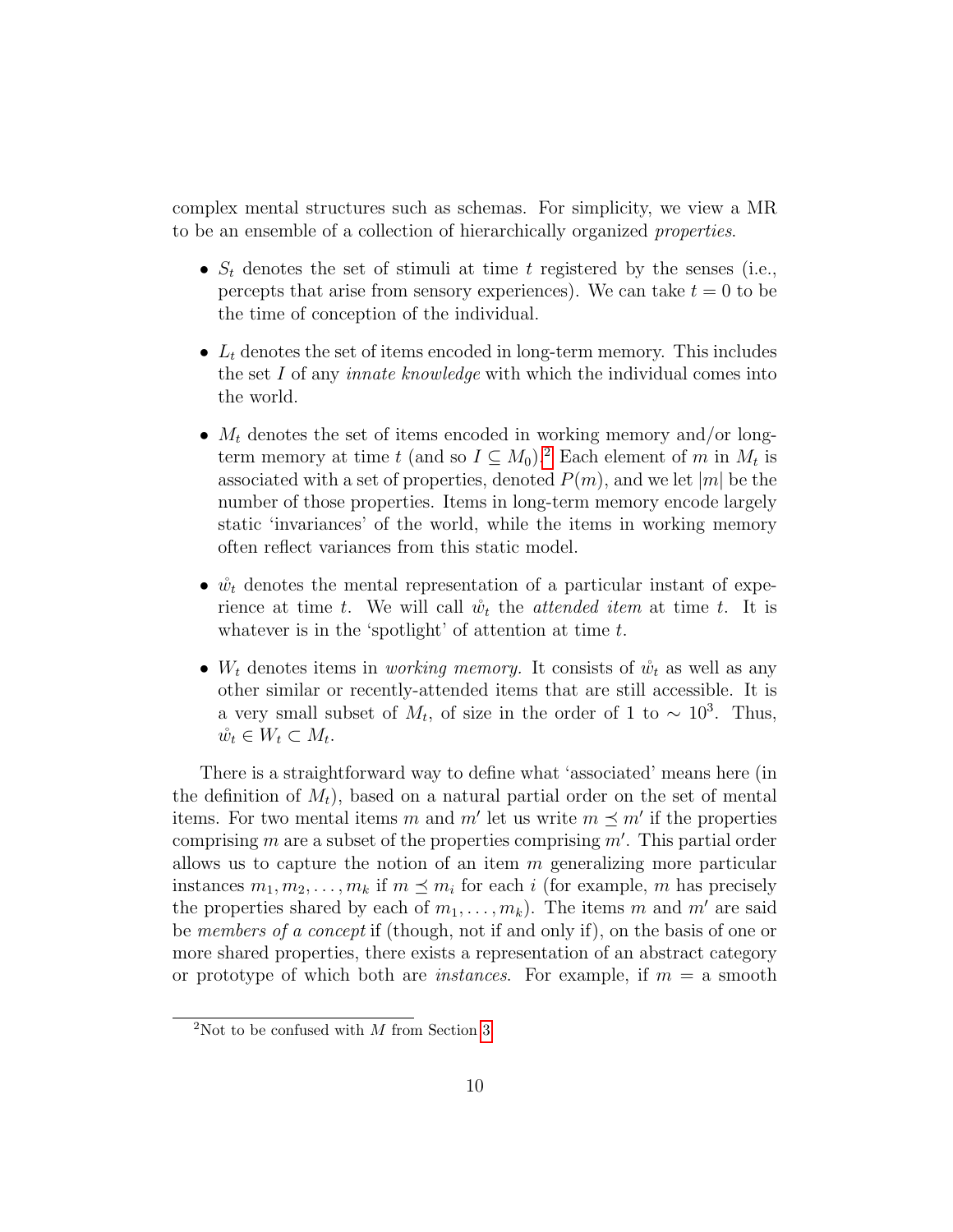complex mental structures such as schemas. For simplicity, we view a MR to be an ensemble of a collection of hierarchically organized properties.

- $S_t$  denotes the set of stimuli at time t registered by the senses (i.e., percepts that arise from sensory experiences). We can take  $t = 0$  to be the time of conception of the individual.
- $L_t$  denotes the set of items encoded in long-term memory. This includes the set  $I$  of any *innate knowledge* with which the individual comes into the world.
- $M_t$  denotes the set of items encoded in working memory and/or longterm memory at time t (and so  $I \subseteq M_0$ ).<sup>[2](#page-9-0)</sup> Each element of m in  $M_t$  is associated with a set of properties, denoted  $P(m)$ , and we let |m| be the number of those properties. Items in long-term memory encode largely static 'invariances' of the world, while the items in working memory often reflect variances from this static model.
- $\dot{w}_t$  denotes the mental representation of a particular instant of experience at time t. We will call  $\mathring{w}_t$  the *attended item* at time t. It is whatever is in the 'spotlight' of attention at time  $t$ .
- $W_t$  denotes items in *working memory*. It consists of  $\hat{w}_t$  as well as any other similar or recently-attended items that are still accessible. It is a very small subset of  $M_t$ , of size in the order of 1 to ~ 10<sup>3</sup>. Thus,  $\mathring{w}_t \in W_t \subset M_t.$

There is a straightforward way to define what 'associated' means here (in the definition of  $M_t$ ), based on a natural partial order on the set of mental items. For two mental items m and m' let us write  $m \leq m'$  if the properties comprising  $m$  are a subset of the properties comprising  $m'$ . This partial order allows us to capture the notion of an item  $m$  generalizing more particular instances  $m_1, m_2, \ldots, m_k$  if  $m \leq m_i$  for each i (for example, m has precisely the properties shared by each of  $m_1, \ldots, m_k$ ). The items m and m' are said be members of a concept if (though, not if and only if), on the basis of one or more shared properties, there exists a representation of an abstract category or prototype of which both are *instances*. For example, if  $m = a$  smooth

<span id="page-9-0"></span><sup>&</sup>lt;sup>2</sup>Not to be confused with  $M$  from Section [3.](#page-6-0)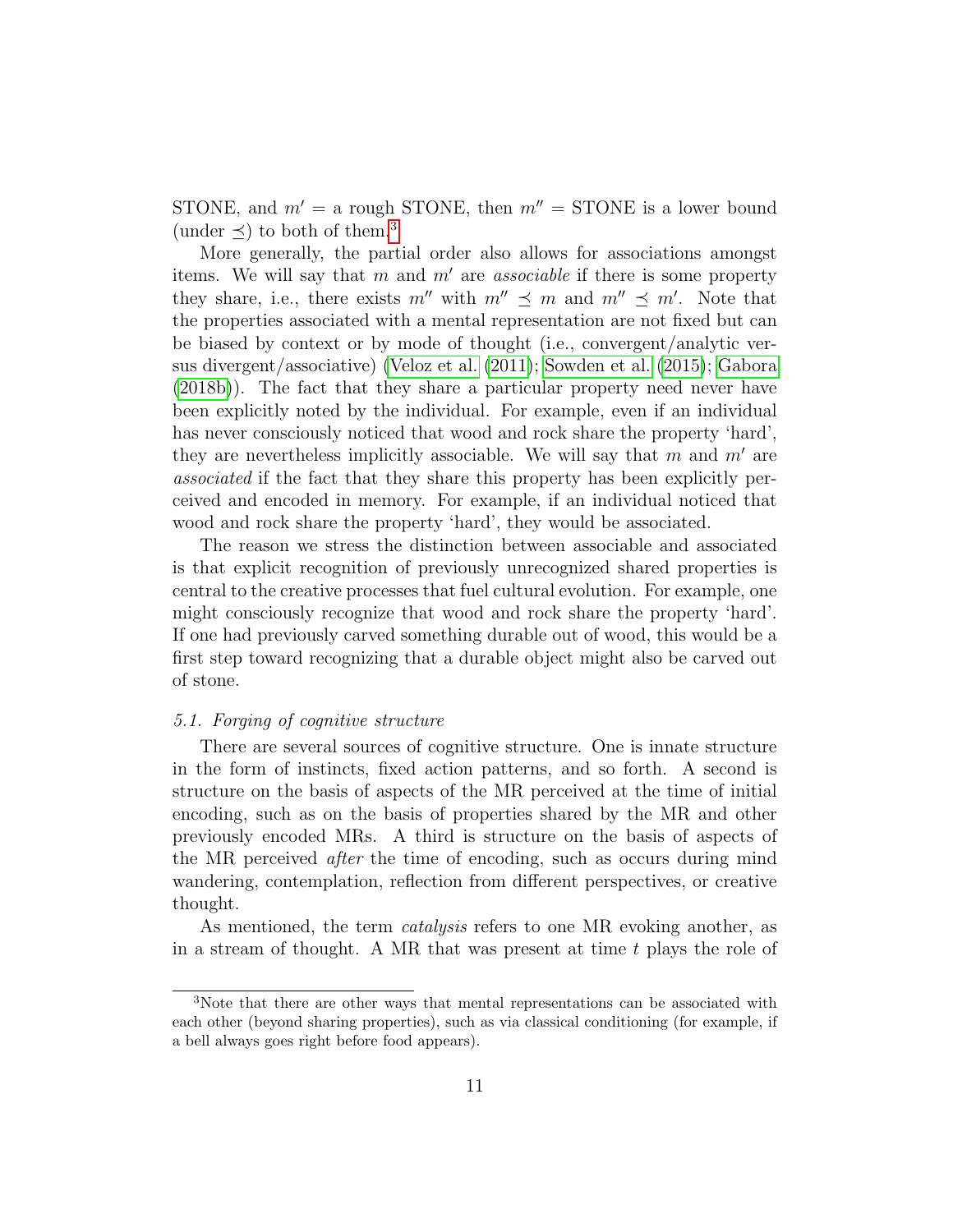STONE, and  $m' = a$  rough STONE, then  $m'' =$  STONE is a lower bound (under  $\preceq$ ) to both of them.<sup>[3](#page-10-0)</sup>

More generally, the partial order also allows for associations amongst items. We will say that m and m' are associable if there is some property they share, i.e., there exists  $m''$  with  $m'' \preceq m$  and  $m'' \preceq m'$ . Note that the properties associated with a mental representation are not fixed but can be biased by context or by mode of thought (i.e., convergent/analytic versus divergent/associative) [\(Veloz et al.](#page-26-6) [\(2011\)](#page-26-6); [Sowden et al.](#page-26-7) [\(2015\)](#page-26-7); [Gabora](#page-23-7) [\(2018b\)](#page-23-7)). The fact that they share a particular property need never have been explicitly noted by the individual. For example, even if an individual has never consciously noticed that wood and rock share the property 'hard', they are nevertheless implicitly associable. We will say that m and  $m'$  are associated if the fact that they share this property has been explicitly perceived and encoded in memory. For example, if an individual noticed that wood and rock share the property 'hard', they would be associated.

The reason we stress the distinction between associable and associated is that explicit recognition of previously unrecognized shared properties is central to the creative processes that fuel cultural evolution. For example, one might consciously recognize that wood and rock share the property 'hard'. If one had previously carved something durable out of wood, this would be a first step toward recognizing that a durable object might also be carved out of stone.

# <span id="page-10-1"></span>5.1. Forging of cognitive structure

There are several sources of cognitive structure. One is innate structure in the form of instincts, fixed action patterns, and so forth. A second is structure on the basis of aspects of the MR perceived at the time of initial encoding, such as on the basis of properties shared by the MR and other previously encoded MRs. A third is structure on the basis of aspects of the MR perceived after the time of encoding, such as occurs during mind wandering, contemplation, reflection from different perspectives, or creative thought.

As mentioned, the term catalysis refers to one MR evoking another, as in a stream of thought. A MR that was present at time  $t$  plays the role of

<span id="page-10-0"></span><sup>&</sup>lt;sup>3</sup>Note that there are other ways that mental representations can be associated with each other (beyond sharing properties), such as via classical conditioning (for example, if a bell always goes right before food appears).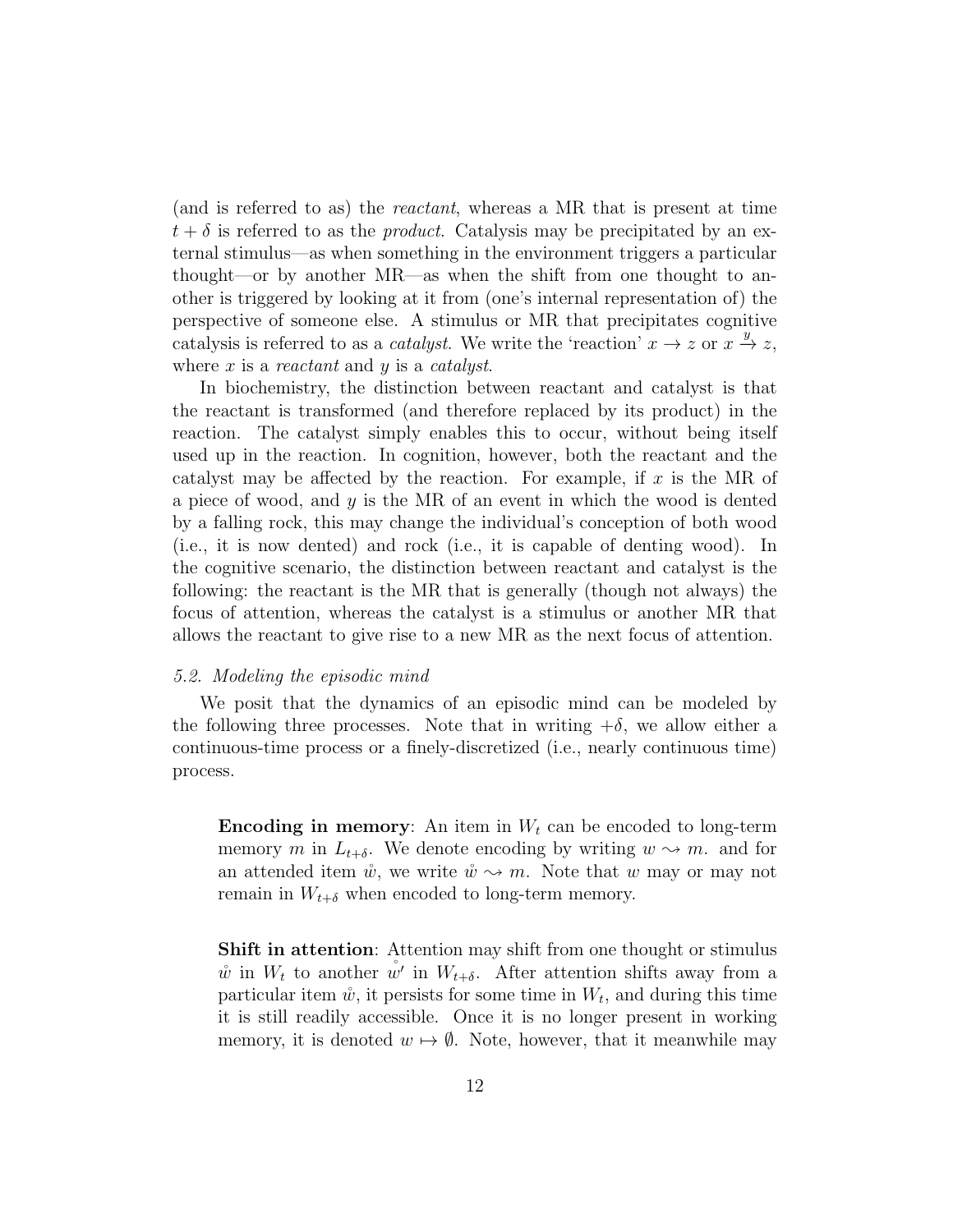(and is referred to as) the reactant, whereas a MR that is present at time  $t + \delta$  is referred to as the *product*. Catalysis may be precipitated by an external stimulus—as when something in the environment triggers a particular thought—or by another MR—as when the shift from one thought to another is triggered by looking at it from (one's internal representation of) the perspective of someone else. A stimulus or MR that precipitates cognitive catalysis is referred to as a *catalyst*. We write the 'reaction'  $x \to z$  or  $x \to z$ , where  $x$  is a *reactant* and  $y$  is a *catalyst*.

In biochemistry, the distinction between reactant and catalyst is that the reactant is transformed (and therefore replaced by its product) in the reaction. The catalyst simply enables this to occur, without being itself used up in the reaction. In cognition, however, both the reactant and the catalyst may be affected by the reaction. For example, if  $x$  is the MR of a piece of wood, and  $y$  is the MR of an event in which the wood is dented by a falling rock, this may change the individual's conception of both wood (i.e., it is now dented) and rock (i.e., it is capable of denting wood). In the cognitive scenario, the distinction between reactant and catalyst is the following: the reactant is the MR that is generally (though not always) the focus of attention, whereas the catalyst is a stimulus or another MR that allows the reactant to give rise to a new MR as the next focus of attention.

#### 5.2. Modeling the episodic mind

We posit that the dynamics of an episodic mind can be modeled by the following three processes. Note that in writing  $+\delta$ , we allow either a continuous-time process or a finely-discretized (i.e., nearly continuous time) process.

**Encoding in memory:** An item in  $W_t$  can be encoded to long-term memory m in  $L_{t+\delta}$ . We denote encoding by writing  $w \sim m$ . and for an attended item  $\mathring{w}$ , we write  $\mathring{w} \rightsquigarrow m$ . Note that w may or may not remain in  $W_{t+\delta}$  when encoded to long-term memory.

Shift in attention: Attention may shift from one thought or stimulus  $\mathring{w}$  in  $W_t$  to another  $\mathring{w}'$  in  $W_{t+\delta}$ . After attention shifts away from a particular item  $\mathring{w}$ , it persists for some time in  $W_t$ , and during this time it is still readily accessible. Once it is no longer present in working memory, it is denoted  $w \mapsto \emptyset$ . Note, however, that it meanwhile may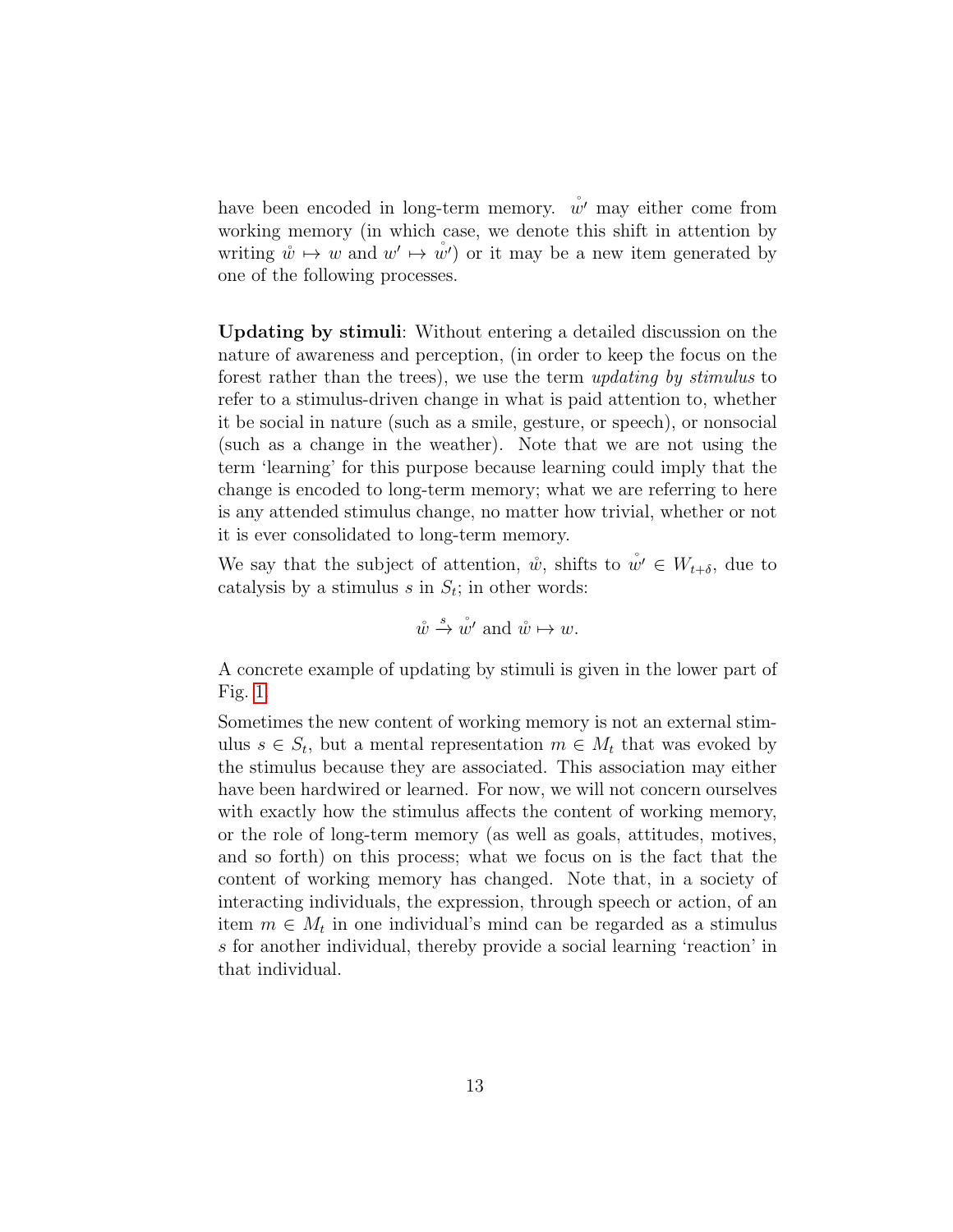have been encoded in long-term memory.  $\dot{w}'$  may either come from working memory (in which case, we denote this shift in attention by writing  $\mathring{w} \mapsto w$  and  $w' \mapsto \mathring{w}'$  or it may be a new item generated by one of the following processes.

Updating by stimuli: Without entering a detailed discussion on the nature of awareness and perception, (in order to keep the focus on the forest rather than the trees), we use the term updating by stimulus to refer to a stimulus-driven change in what is paid attention to, whether it be social in nature (such as a smile, gesture, or speech), or nonsocial (such as a change in the weather). Note that we are not using the term 'learning' for this purpose because learning could imply that the change is encoded to long-term memory; what we are referring to here is any attended stimulus change, no matter how trivial, whether or not it is ever consolidated to long-term memory.

We say that the subject of attention,  $\mathring{w}$ , shifts to  $\mathring{w}' \in W_{t+\delta}$ , due to catalysis by a stimulus  $s$  in  $S_t$ ; in other words:

$$
\mathring{w} \stackrel{s}{\to} \mathring{w'} \text{ and } \mathring{w} \mapsto w.
$$

A concrete example of updating by stimuli is given in the lower part of Fig. [1.](#page-14-0)

Sometimes the new content of working memory is not an external stimulus  $s \in S_t$ , but a mental representation  $m \in M_t$  that was evoked by the stimulus because they are associated. This association may either have been hardwired or learned. For now, we will not concern ourselves with exactly how the stimulus affects the content of working memory, or the role of long-term memory (as well as goals, attitudes, motives, and so forth) on this process; what we focus on is the fact that the content of working memory has changed. Note that, in a society of interacting individuals, the expression, through speech or action, of an item  $m \in M_t$  in one individual's mind can be regarded as a stimulus s for another individual, thereby provide a social learning 'reaction' in that individual.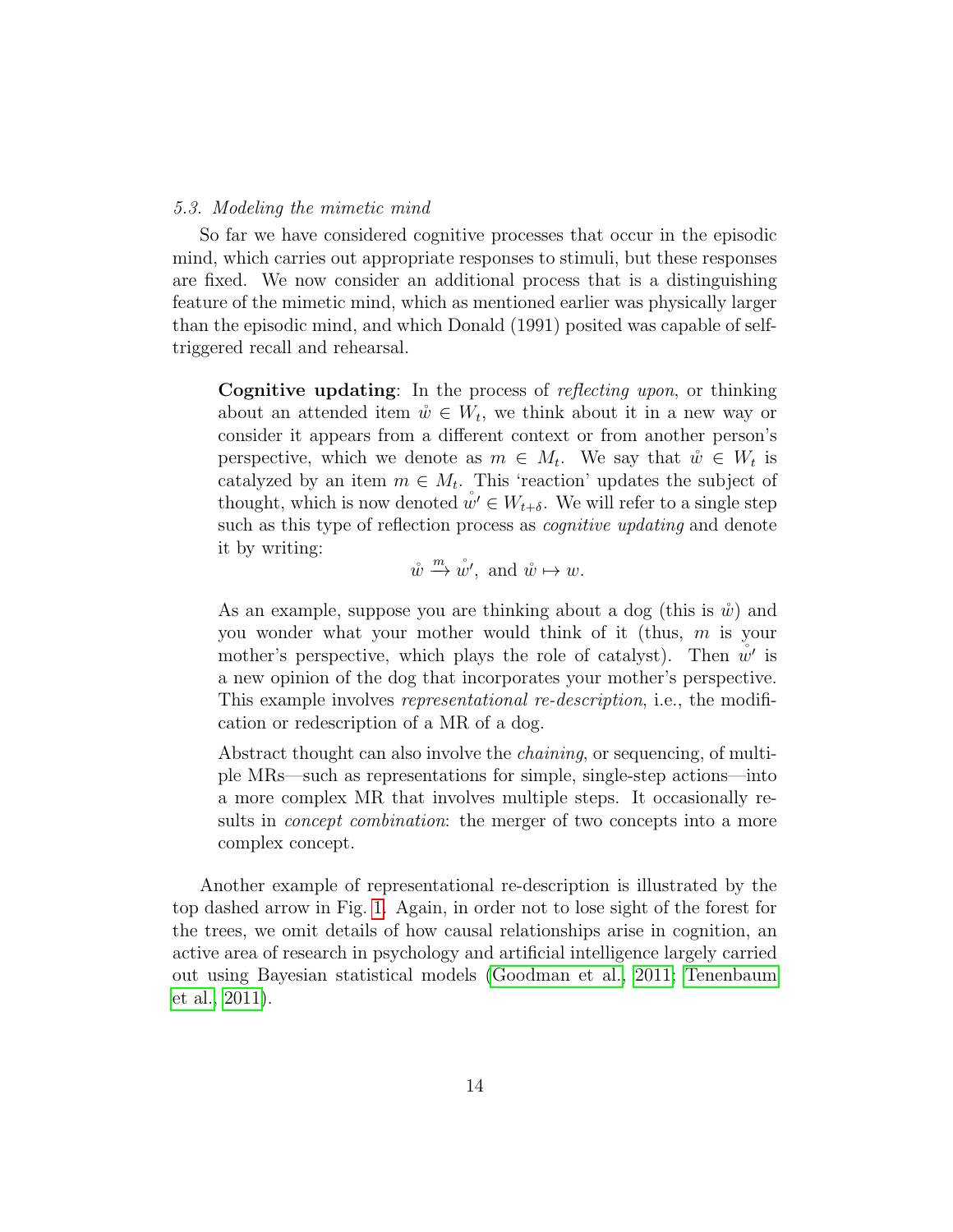#### 5.3. Modeling the mimetic mind

So far we have considered cognitive processes that occur in the episodic mind, which carries out appropriate responses to stimuli, but these responses are fixed. We now consider an additional process that is a distinguishing feature of the mimetic mind, which as mentioned earlier was physically larger than the episodic mind, and which Donald (1991) posited was capable of selftriggered recall and rehearsal.

Cognitive updating: In the process of reflecting upon, or thinking about an attended item  $\mathring{w} \in W_t$ , we think about it in a new way or consider it appears from a different context or from another person's perspective, which we denote as  $m \in M_t$ . We say that  $\mathring{w} \in W_t$  is catalyzed by an item  $m \in M_t$ . This 'reaction' updates the subject of thought, which is now denoted  $w' \in W_{t+\delta}$ . We will refer to a single step such as this type of reflection process as *cognitive updating* and denote it by writing:

$$
\mathring{w} \xrightarrow{m} \mathring{w'}, \text{ and } \mathring{w} \mapsto w.
$$

As an example, suppose you are thinking about a dog (this is  $\hat{w}$ ) and you wonder what your mother would think of it (thus, m is your mother's perspective, which plays the role of catalyst). Then  $\hat{w}'$  is a new opinion of the dog that incorporates your mother's perspective. This example involves representational re-description, i.e., the modification or redescription of a MR of a dog.

Abstract thought can also involve the chaining, or sequencing, of multiple MRs—such as representations for simple, single-step actions—into a more complex MR that involves multiple steps. It occasionally results in *concept combination*: the merger of two concepts into a more complex concept.

Another example of representational re-description is illustrated by the top dashed arrow in Fig. [1.](#page-14-0) Again, in order not to lose sight of the forest for the trees, we omit details of how causal relationships arise in cognition, an active area of research in psychology and artificial intelligence largely carried out using Bayesian statistical models [\(Goodman et al., 2011;](#page-24-8) [Tenenbaum](#page-26-8) [et al., 2011\)](#page-26-8).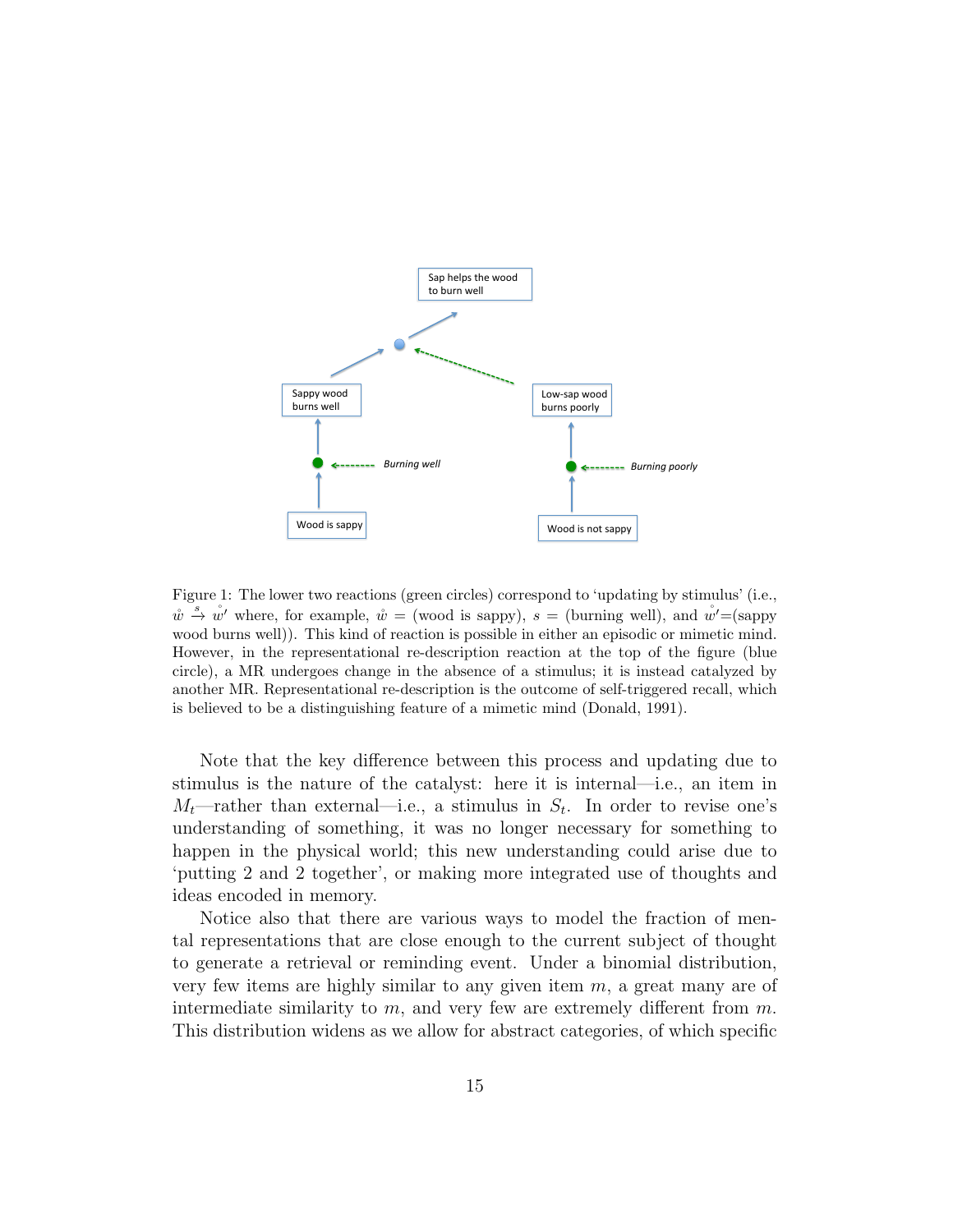

<span id="page-14-0"></span>Figure 1: The lower two reactions (green circles) correspond to 'updating by stimulus' (i.e.,  $\omega \stackrel{s}{\rightarrow} \omega'$  where, for example,  $\omega =$  (wood is sappy),  $s =$  (burning well), and  $\omega' =$  (sappy) wood burns well)). This kind of reaction is possible in either an episodic or mimetic mind. However, in the representational re-description reaction at the top of the figure (blue circle), a MR undergoes change in the absence of a stimulus; it is instead catalyzed by another MR. Representational re-description is the outcome of self-triggered recall, which is believed to be a distinguishing feature of a mimetic mind (Donald, 1991).

Note that the key difference between this process and updating due to stimulus is the nature of the catalyst: here it is internal—i.e., an item in  $M_t$ —rather than external—i.e., a stimulus in  $S_t$ . In order to revise one's understanding of something, it was no longer necessary for something to happen in the physical world; this new understanding could arise due to 'putting 2 and 2 together', or making more integrated use of thoughts and ideas encoded in memory.

Notice also that there are various ways to model the fraction of mental representations that are close enough to the current subject of thought to generate a retrieval or reminding event. Under a binomial distribution, very few items are highly similar to any given item  $m$ , a great many are of intermediate similarity to  $m$ , and very few are extremely different from  $m$ . This distribution widens as we allow for abstract categories, of which specific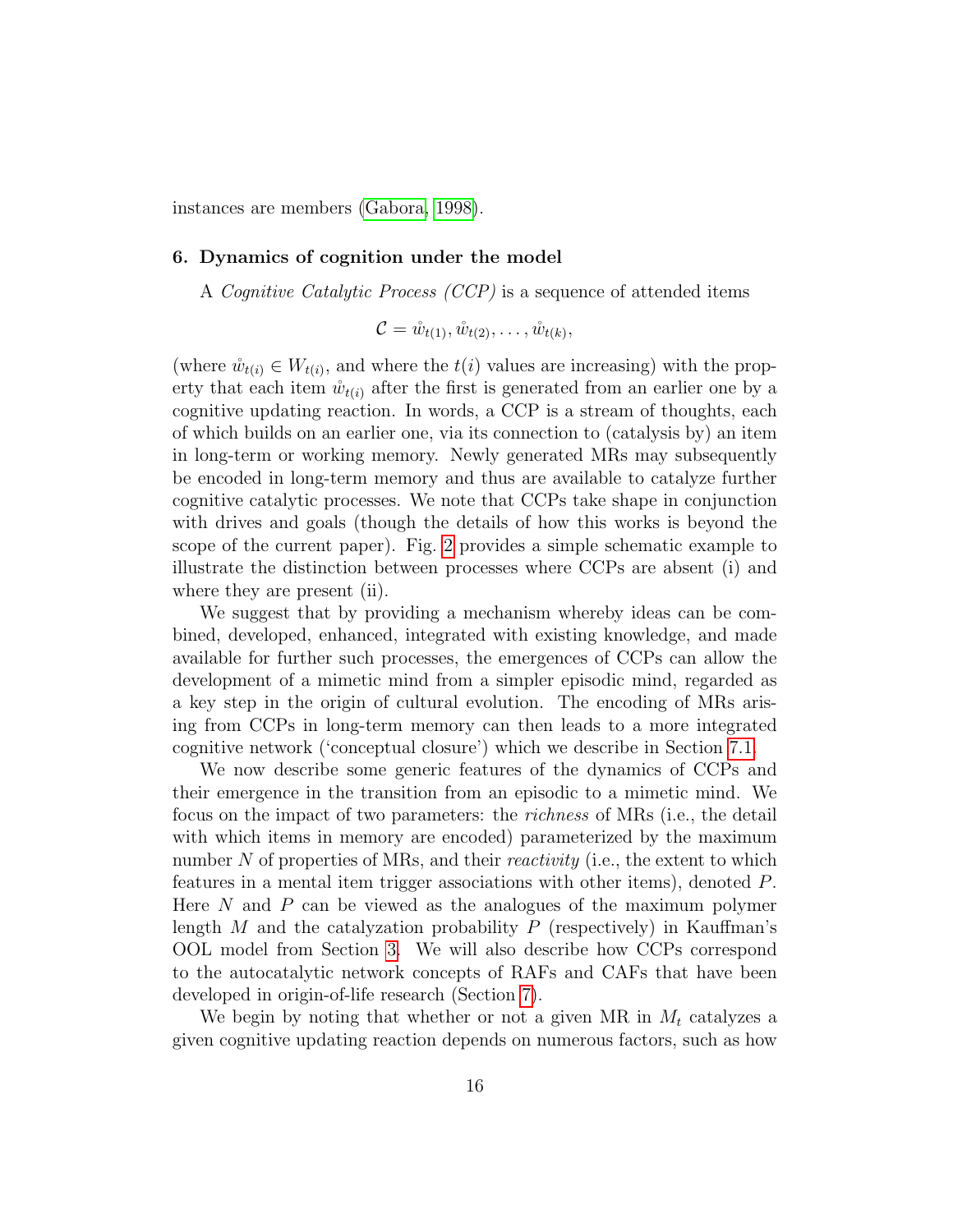instances are members [\(Gabora, 1998\)](#page-23-3).

## 6. Dynamics of cognition under the model

A Cognitive Catalytic Process (CCP) is a sequence of attended items

 $\mathcal{C} = \mathring{w}_{t(1)}, \mathring{w}_{t(2)}, \ldots, \mathring{w}_{t(k)},$ 

(where  $\mathring{w}_{t(i)} \in W_{t(i)}$ , and where the  $t(i)$  values are increasing) with the property that each item  $\mathring{w}_{t(i)}$  after the first is generated from an earlier one by a cognitive updating reaction. In words, a CCP is a stream of thoughts, each of which builds on an earlier one, via its connection to (catalysis by) an item in long-term or working memory. Newly generated MRs may subsequently be encoded in long-term memory and thus are available to catalyze further cognitive catalytic processes. We note that CCPs take shape in conjunction with drives and goals (though the details of how this works is beyond the scope of the current paper). Fig. [2](#page-16-0) provides a simple schematic example to illustrate the distinction between processes where CCPs are absent (i) and where they are present (ii).

We suggest that by providing a mechanism whereby ideas can be combined, developed, enhanced, integrated with existing knowledge, and made available for further such processes, the emergences of CCPs can allow the development of a mimetic mind from a simpler episodic mind, regarded as a key step in the origin of cultural evolution. The encoding of MRs arising from CCPs in long-term memory can then leads to a more integrated cognitive network ('conceptual closure') which we describe in Section [7.1.](#page-18-0)

We now describe some generic features of the dynamics of CCPs and their emergence in the transition from an episodic to a mimetic mind. We focus on the impact of two parameters: the richness of MRs (i.e., the detail with which items in memory are encoded) parameterized by the maximum number  $N$  of properties of MRs, and their *reactivity* (i.e., the extent to which features in a mental item trigger associations with other items), denoted P. Here  $N$  and  $P$  can be viewed as the analogues of the maximum polymer length  $M$  and the catalyzation probability  $P$  (respectively) in Kauffman's OOL model from Section [3.](#page-6-0) We will also describe how CCPs correspond to the autocatalytic network concepts of RAFs and CAFs that have been developed in origin-of-life research (Section [7\)](#page-17-0).

We begin by noting that whether or not a given MR in  $M_t$  catalyzes a given cognitive updating reaction depends on numerous factors, such as how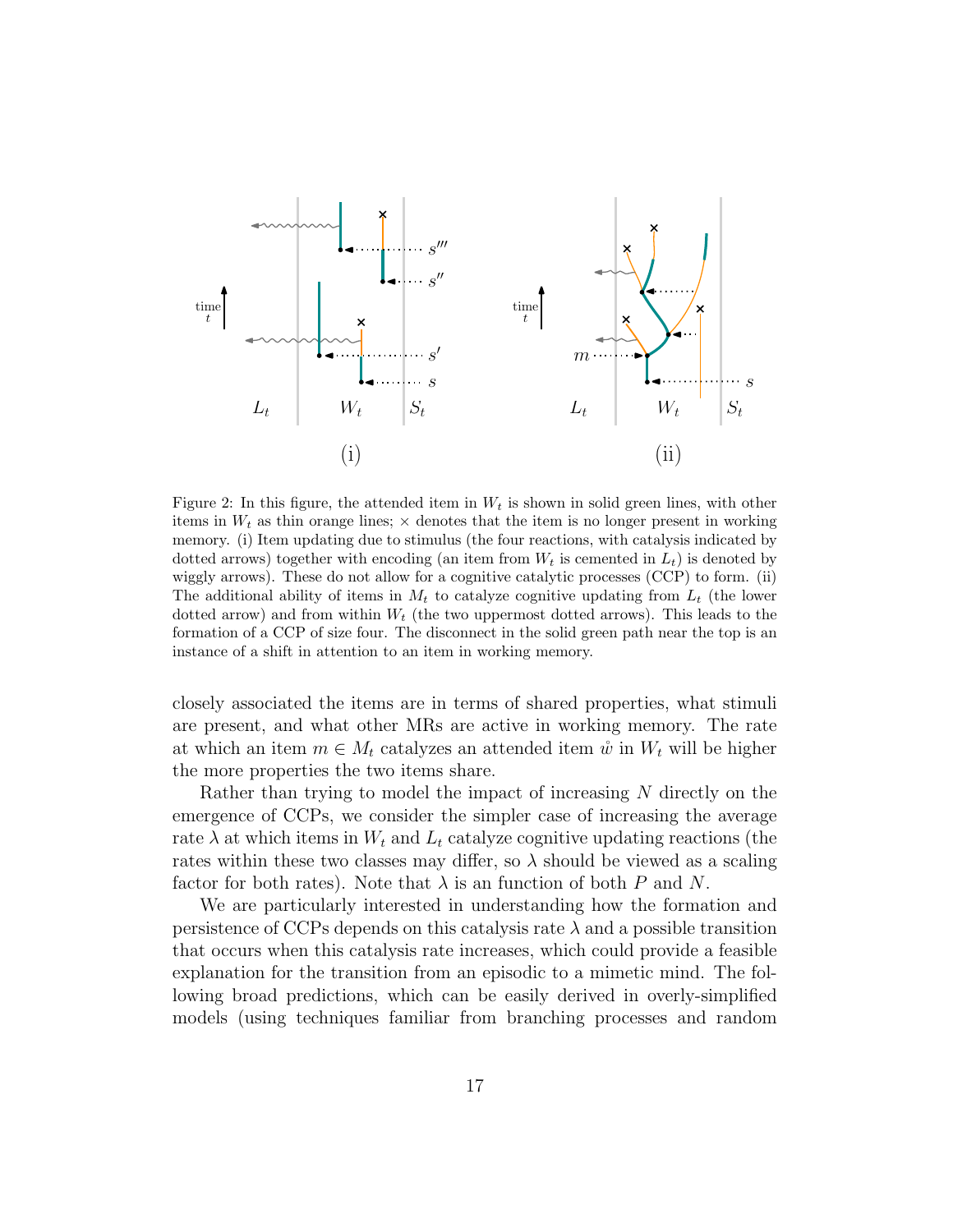

<span id="page-16-0"></span>Figure 2: In this figure, the attended item in  $W_t$  is shown in solid green lines, with other items in  $W_t$  as thin orange lines;  $\times$  denotes that the item is no longer present in working memory. (i) Item updating due to stimulus (the four reactions, with catalysis indicated by dotted arrows) together with encoding (an item from  $W_t$  is cemented in  $L_t$ ) is denoted by wiggly arrows). These do not allow for a cognitive catalytic processes (CCP) to form. (ii) The additional ability of items in  $M_t$  to catalyze cognitive updating from  $L_t$  (the lower dotted arrow) and from within  $W_t$  (the two uppermost dotted arrows). This leads to the formation of a CCP of size four. The disconnect in the solid green path near the top is an instance of a shift in attention to an item in working memory.

closely associated the items are in terms of shared properties, what stimuli are present, and what other MRs are active in working memory. The rate at which an item  $m \in M_t$  catalyzes an attended item  $\hat{w}$  in  $W_t$  will be higher the more properties the two items share.

Rather than trying to model the impact of increasing N directly on the emergence of CCPs, we consider the simpler case of increasing the average rate  $\lambda$  at which items in  $W_t$  and  $L_t$  catalyze cognitive updating reactions (the rates within these two classes may differ, so  $\lambda$  should be viewed as a scaling factor for both rates). Note that  $\lambda$  is an function of both P and N.

We are particularly interested in understanding how the formation and persistence of CCPs depends on this catalysis rate  $\lambda$  and a possible transition that occurs when this catalysis rate increases, which could provide a feasible explanation for the transition from an episodic to a mimetic mind. The following broad predictions, which can be easily derived in overly-simplified models (using techniques familiar from branching processes and random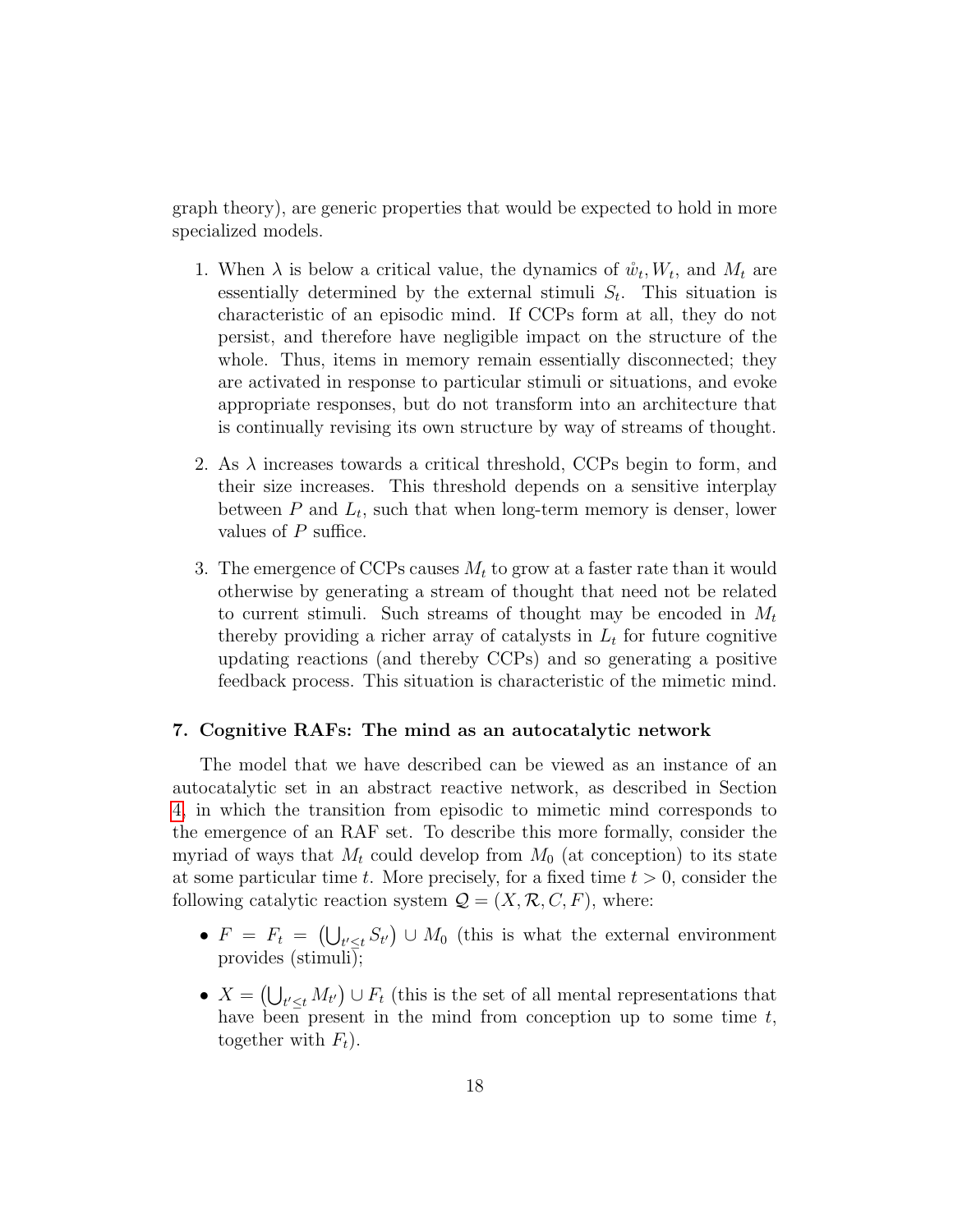graph theory), are generic properties that would be expected to hold in more specialized models.

- 1. When  $\lambda$  is below a critical value, the dynamics of  $\mathring{w}_t$ ,  $W_t$ , and  $M_t$  are essentially determined by the external stimuli  $S_t$ . This situation is characteristic of an episodic mind. If CCPs form at all, they do not persist, and therefore have negligible impact on the structure of the whole. Thus, items in memory remain essentially disconnected; they are activated in response to particular stimuli or situations, and evoke appropriate responses, but do not transform into an architecture that is continually revising its own structure by way of streams of thought.
- 2. As  $\lambda$  increases towards a critical threshold, CCPs begin to form, and their size increases. This threshold depends on a sensitive interplay between  $P$  and  $L_t$ , such that when long-term memory is denser, lower values of  $P$  suffice.
- 3. The emergence of CCPs causes  $M_t$  to grow at a faster rate than it would otherwise by generating a stream of thought that need not be related to current stimuli. Such streams of thought may be encoded in  $M_t$ thereby providing a richer array of catalysts in  $L_t$  for future cognitive updating reactions (and thereby CCPs) and so generating a positive feedback process. This situation is characteristic of the mimetic mind.

# <span id="page-17-0"></span>7. Cognitive RAFs: The mind as an autocatalytic network

The model that we have described can be viewed as an instance of an autocatalytic set in an abstract reactive network, as described in Section [4,](#page-7-0) in which the transition from episodic to mimetic mind corresponds to the emergence of an RAF set. To describe this more formally, consider the myriad of ways that  $M_t$  could develop from  $M_0$  (at conception) to its state at some particular time t. More precisely, for a fixed time  $t > 0$ , consider the following catalytic reaction system  $\mathcal{Q} = (X, \mathcal{R}, C, F)$ , where:

- $F = F_t = (\bigcup_{t' \leq t} S_{t'}) \cup M_0$  (this is what the external environment provides  $(\text{stimuli})$ ;
- $X = (\bigcup_{t' \leq t} M_{t'}) \cup F_t$  (this is the set of all mental representations that have been present in the mind from conception up to some time  $t$ , together with  $F_t$ ).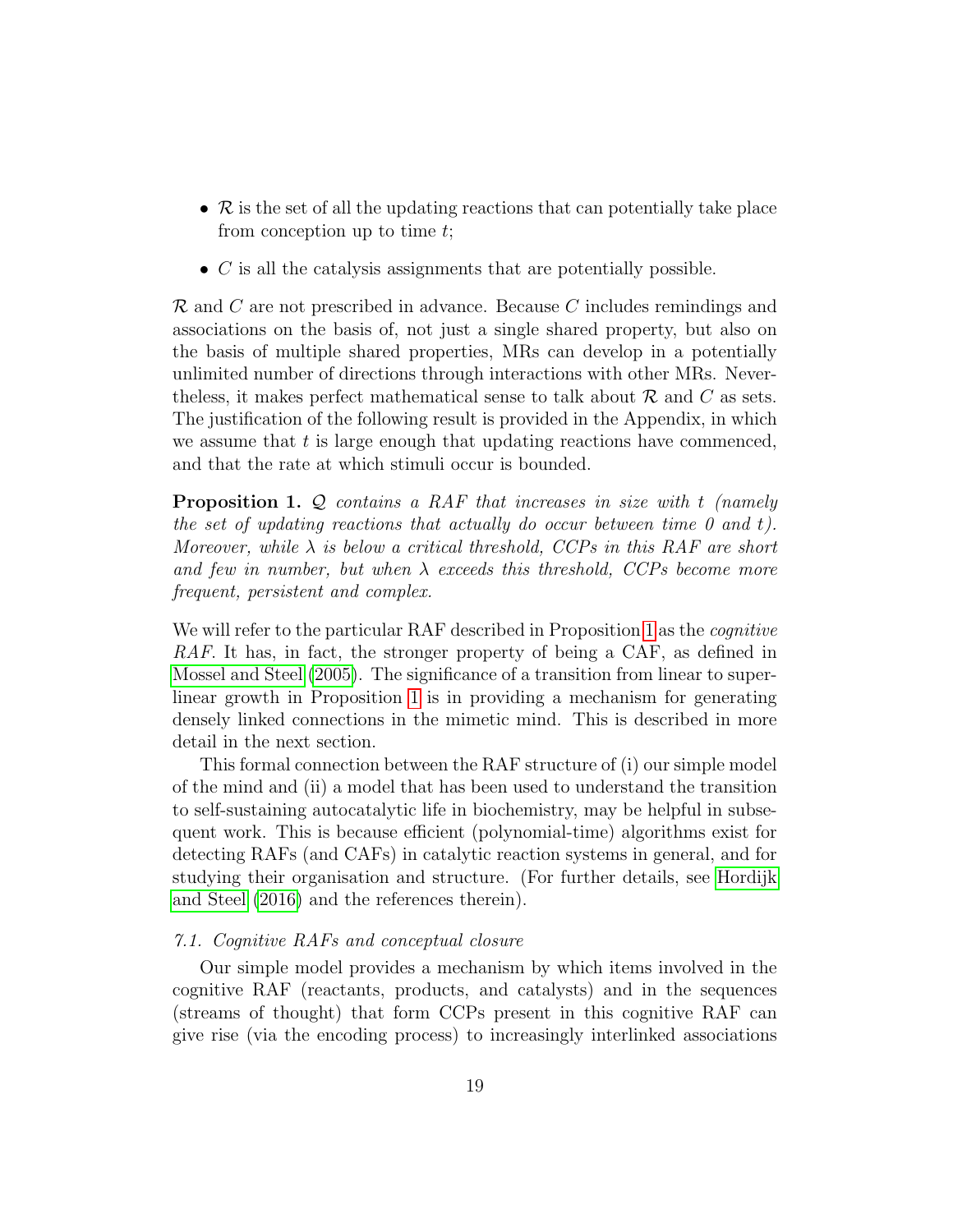- $\mathcal R$  is the set of all the updating reactions that can potentially take place from conception up to time  $t$ ;
- $\bullet$  C is all the catalysis assignments that are potentially possible.

R and C are not prescribed in advance. Because C includes remindings and associations on the basis of, not just a single shared property, but also on the basis of multiple shared properties, MRs can develop in a potentially unlimited number of directions through interactions with other MRs. Neverthe less, it makes perfect mathematical sense to talk about  $\mathcal R$  and  $C$  as sets. The justification of the following result is provided in the Appendix, in which we assume that  $t$  is large enough that updating reactions have commenced, and that the rate at which stimuli occur is bounded.

<span id="page-18-1"></span>**Proposition 1.** Q contains a RAF that increases in size with t (namely the set of updating reactions that actually do occur between time 0 and t). Moreover, while  $\lambda$  is below a critical threshold, CCPs in this RAF are short and few in number, but when  $\lambda$  exceeds this threshold, CCPs become more frequent, persistent and complex.

We will refer to the particular RAF described in Proposition [1](#page-18-1) as the *cognitive* RAF. It has, in fact, the stronger property of being a CAF, as defined in [Mossel and Steel](#page-25-11) [\(2005\)](#page-25-11). The significance of a transition from linear to superlinear growth in Proposition [1](#page-18-1) is in providing a mechanism for generating densely linked connections in the mimetic mind. This is described in more detail in the next section.

This formal connection between the RAF structure of (i) our simple model of the mind and (ii) a model that has been used to understand the transition to self-sustaining autocatalytic life in biochemistry, may be helpful in subsequent work. This is because efficient (polynomial-time) algorithms exist for detecting RAFs (and CAFs) in catalytic reaction systems in general, and for studying their organisation and structure. (For further details, see [Hordijk](#page-25-7) [and Steel](#page-25-7) [\(2016\)](#page-25-7) and the references therein).

# <span id="page-18-0"></span>7.1. Cognitive RAFs and conceptual closure

Our simple model provides a mechanism by which items involved in the cognitive RAF (reactants, products, and catalysts) and in the sequences (streams of thought) that form CCPs present in this cognitive RAF can give rise (via the encoding process) to increasingly interlinked associations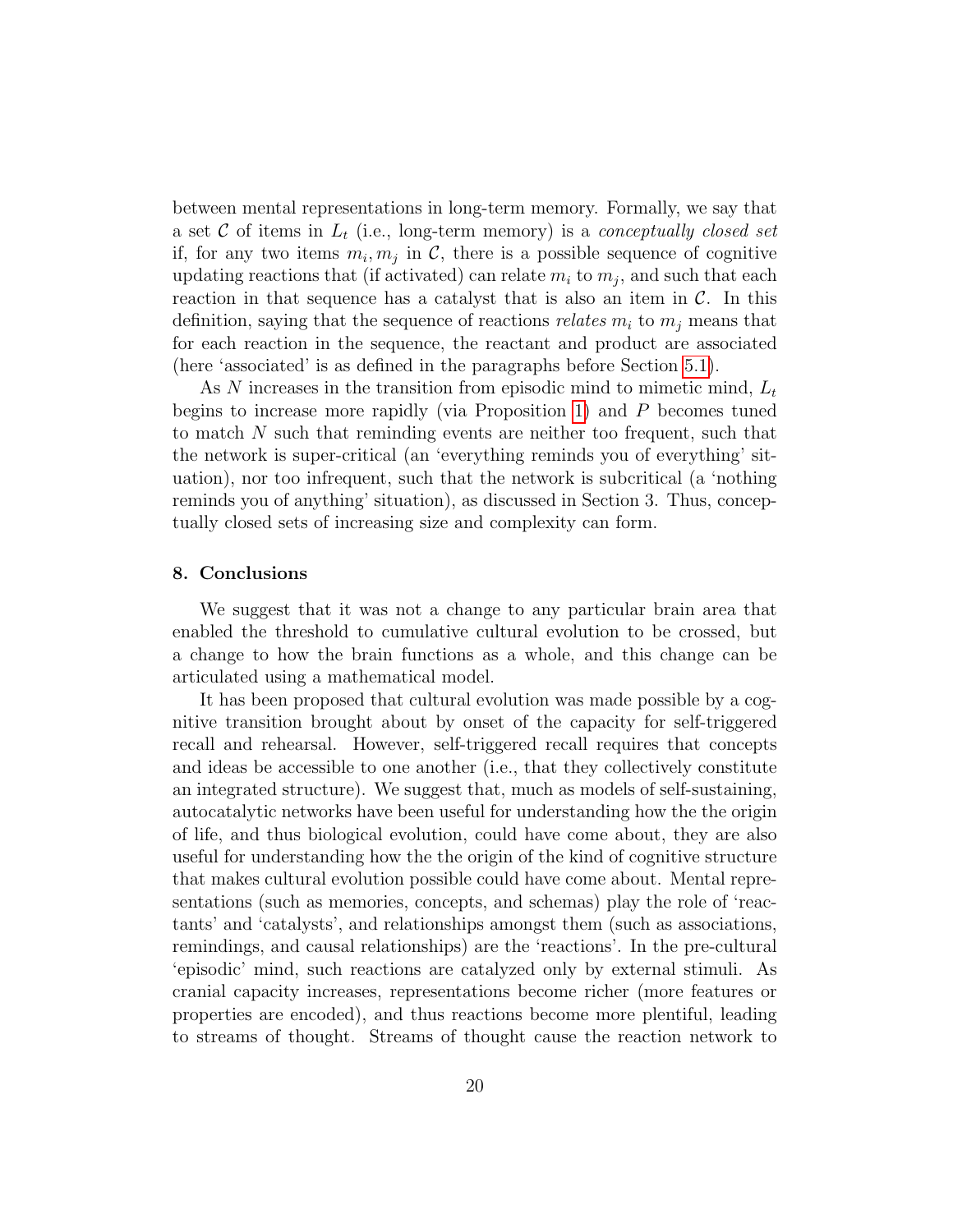between mental representations in long-term memory. Formally, we say that a set C of items in  $L_t$  (i.e., long-term memory) is a *conceptually closed set* if, for any two items  $m_i, m_j$  in C, there is a possible sequence of cognitive updating reactions that (if activated) can relate  $m_i$  to  $m_j$ , and such that each reaction in that sequence has a catalyst that is also an item in  $\mathcal{C}$ . In this definition, saying that the sequence of reactions relates  $m_i$  to  $m_j$  means that for each reaction in the sequence, the reactant and product are associated (here 'associated' is as defined in the paragraphs before Section [5.1\)](#page-10-1).

As N increases in the transition from episodic mind to mimetic mind,  $L_t$ begins to increase more rapidly (via Proposition [1\)](#page-18-1) and P becomes tuned to match N such that reminding events are neither too frequent, such that the network is super-critical (an 'everything reminds you of everything' situation), nor too infrequent, such that the network is subcritical (a 'nothing reminds you of anything' situation), as discussed in Section 3. Thus, conceptually closed sets of increasing size and complexity can form.

# 8. Conclusions

We suggest that it was not a change to any particular brain area that enabled the threshold to cumulative cultural evolution to be crossed, but a change to how the brain functions as a whole, and this change can be articulated using a mathematical model.

It has been proposed that cultural evolution was made possible by a cognitive transition brought about by onset of the capacity for self-triggered recall and rehearsal. However, self-triggered recall requires that concepts and ideas be accessible to one another (i.e., that they collectively constitute an integrated structure). We suggest that, much as models of self-sustaining, autocatalytic networks have been useful for understanding how the the origin of life, and thus biological evolution, could have come about, they are also useful for understanding how the the origin of the kind of cognitive structure that makes cultural evolution possible could have come about. Mental representations (such as memories, concepts, and schemas) play the role of 'reactants' and 'catalysts', and relationships amongst them (such as associations, remindings, and causal relationships) are the 'reactions'. In the pre-cultural 'episodic' mind, such reactions are catalyzed only by external stimuli. As cranial capacity increases, representations become richer (more features or properties are encoded), and thus reactions become more plentiful, leading to streams of thought. Streams of thought cause the reaction network to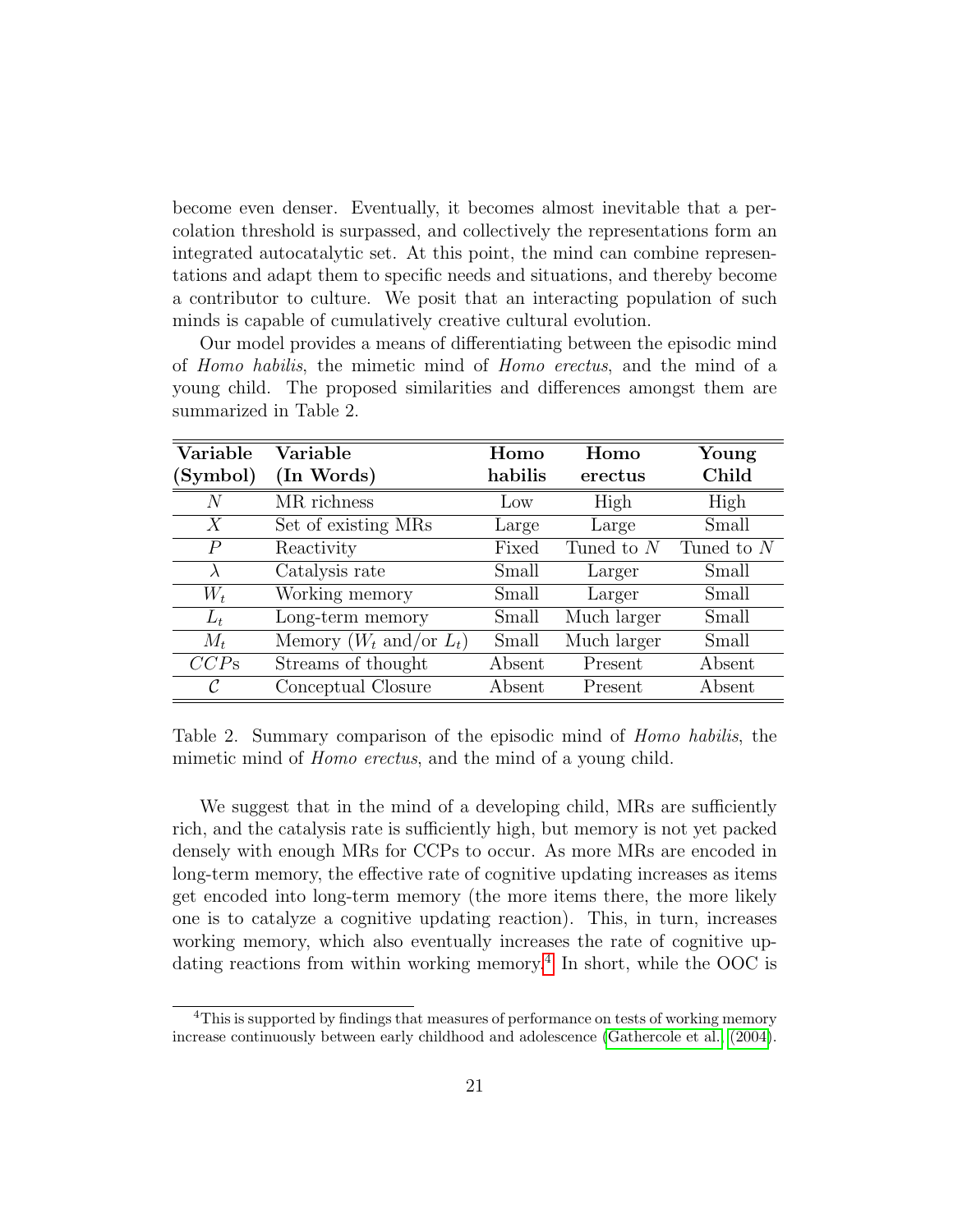become even denser. Eventually, it becomes almost inevitable that a percolation threshold is surpassed, and collectively the representations form an integrated autocatalytic set. At this point, the mind can combine representations and adapt them to specific needs and situations, and thereby become a contributor to culture. We posit that an interacting population of such minds is capable of cumulatively creative cultural evolution.

Our model provides a means of differentiating between the episodic mind of Homo habilis, the mimetic mind of Homo erectus, and the mind of a young child. The proposed similarities and differences amongst them are summarized in Table 2.

| Variable         | Variable                           | Homo            | Homo         | Young        |
|------------------|------------------------------------|-----------------|--------------|--------------|
| (Symbol)         | (In Words)                         | habilis         | erectus      | Child        |
| N                | MR richness                        | $_{\text{LOW}}$ | High         | High         |
| $\boldsymbol{X}$ | Set of existing MRs                | Large           | Large        | Small        |
| $\overline{P}$   | Reactivity                         | Fixed           | Tuned to $N$ | Tuned to $N$ |
| $\lambda$        | Catalysis rate                     | Small           | Larger       | Small        |
| $W_t$            | Working memory                     | Small           | Larger       | Small        |
| $L_t$            | Long-term memory                   | Small           | Much larger  | Small        |
| $M_t$            | Memory $(W_t \text{ and/or } L_t)$ | Small           | Much larger  | Small        |
| CCPs             | Streams of thought                 | Absent          | Present      | Absent       |
| $\mathcal C$     | Conceptual Closure                 | Absent          | Present      | Absent       |

Table 2. Summary comparison of the episodic mind of Homo habilis, the mimetic mind of *Homo erectus*, and the mind of a young child.

We suggest that in the mind of a developing child, MRs are sufficiently rich, and the catalysis rate is sufficiently high, but memory is not yet packed densely with enough MRs for CCPs to occur. As more MRs are encoded in long-term memory, the effective rate of cognitive updating increases as items get encoded into long-term memory (the more items there, the more likely one is to catalyze a cognitive updating reaction). This, in turn, increases working memory, which also eventually increases the rate of cognitive up-dating reactions from within working memory.<sup>[4](#page-20-0)</sup> In short, while the OOC is

<span id="page-20-0"></span><sup>&</sup>lt;sup>4</sup>This is supported by findings that measures of performance on tests of working memory increase continuously between early childhood and adolescence [\(Gathercole et al., \(2004\)](#page-24-9).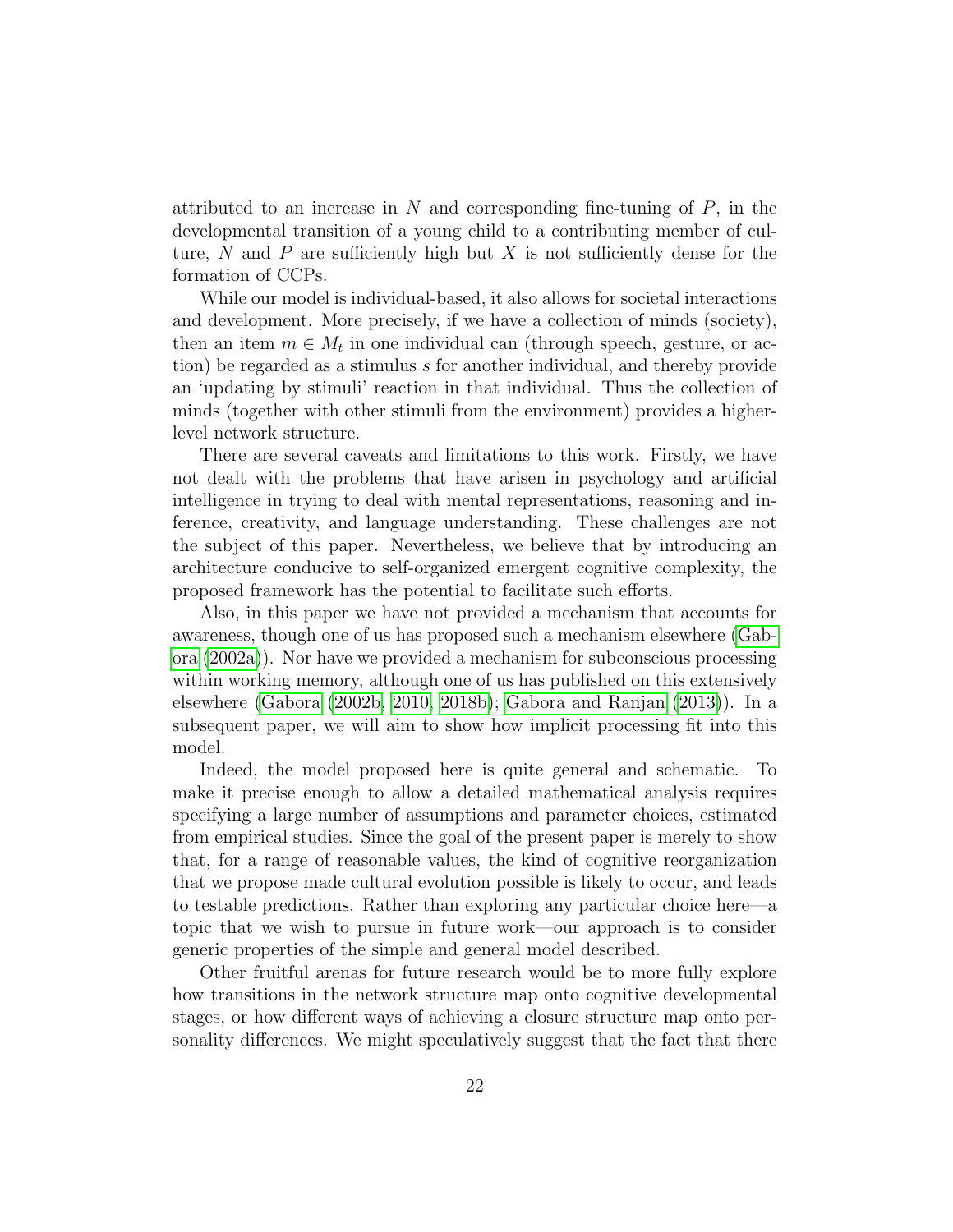attributed to an increase in  $N$  and corresponding fine-tuning of  $P$ , in the developmental transition of a young child to a contributing member of culture,  $N$  and  $P$  are sufficiently high but  $X$  is not sufficiently dense for the formation of CCPs.

While our model is individual-based, it also allows for societal interactions and development. More precisely, if we have a collection of minds (society), then an item  $m \in M_t$  in one individual can (through speech, gesture, or action) be regarded as a stimulus s for another individual, and thereby provide an 'updating by stimuli' reaction in that individual. Thus the collection of minds (together with other stimuli from the environment) provides a higherlevel network structure.

There are several caveats and limitations to this work. Firstly, we have not dealt with the problems that have arisen in psychology and artificial intelligence in trying to deal with mental representations, reasoning and inference, creativity, and language understanding. These challenges are not the subject of this paper. Nevertheless, we believe that by introducing an architecture conducive to self-organized emergent cognitive complexity, the proposed framework has the potential to facilitate such efforts.

Also, in this paper we have not provided a mechanism that accounts for awareness, though one of us has proposed such a mechanism elsewhere [\(Gab](#page-23-11)[ora](#page-23-11) [\(2002a\)](#page-23-11)). Nor have we provided a mechanism for subconscious processing within working memory, although one of us has published on this extensively elsewhere [\(Gabora](#page-23-5) [\(2002b,](#page-23-5) [2010,](#page-23-6) [2018b\)](#page-23-7); [Gabora and Ranjan](#page-24-0) [\(2013\)](#page-24-0)). In a subsequent paper, we will aim to show how implicit processing fit into this model.

Indeed, the model proposed here is quite general and schematic. To make it precise enough to allow a detailed mathematical analysis requires specifying a large number of assumptions and parameter choices, estimated from empirical studies. Since the goal of the present paper is merely to show that, for a range of reasonable values, the kind of cognitive reorganization that we propose made cultural evolution possible is likely to occur, and leads to testable predictions. Rather than exploring any particular choice here—a topic that we wish to pursue in future work—our approach is to consider generic properties of the simple and general model described.

Other fruitful arenas for future research would be to more fully explore how transitions in the network structure map onto cognitive developmental stages, or how different ways of achieving a closure structure map onto personality differences. We might speculatively suggest that the fact that there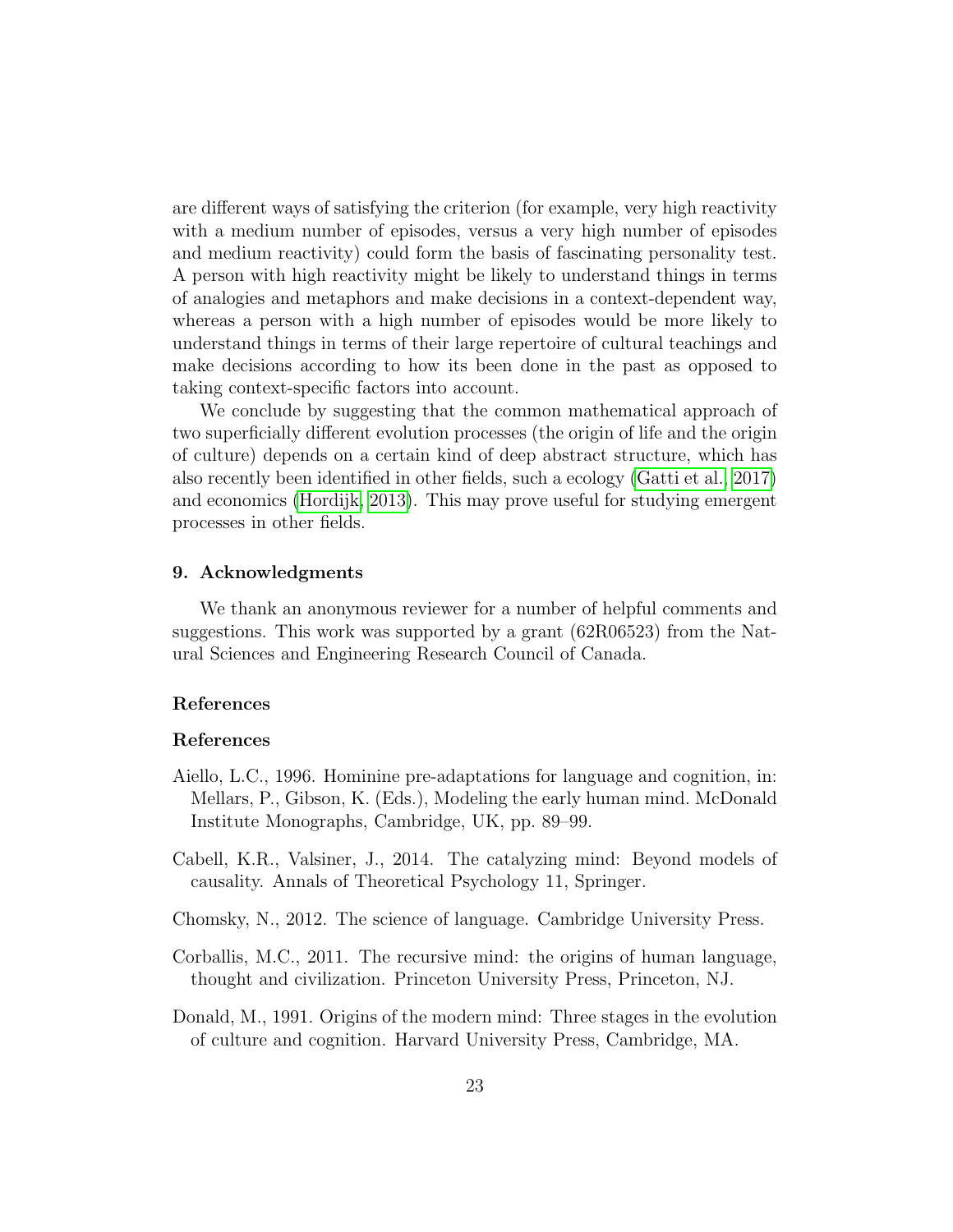are different ways of satisfying the criterion (for example, very high reactivity with a medium number of episodes, versus a very high number of episodes and medium reactivity) could form the basis of fascinating personality test. A person with high reactivity might be likely to understand things in terms of analogies and metaphors and make decisions in a context-dependent way, whereas a person with a high number of episodes would be more likely to understand things in terms of their large repertoire of cultural teachings and make decisions according to how its been done in the past as opposed to taking context-specific factors into account.

We conclude by suggesting that the common mathematical approach of two superficially different evolution processes (the origin of life and the origin of culture) depends on a certain kind of deep abstract structure, which has also recently been identified in other fields, such a ecology [\(Gatti et al., 2017\)](#page-24-10) and economics [\(Hordijk, 2013\)](#page-24-11). This may prove useful for studying emergent processes in other fields.

# 9. Acknowledgments

We thank an anonymous reviewer for a number of helpful comments and suggestions. This work was supported by a grant (62R06523) from the Natural Sciences and Engineering Research Council of Canada.

#### References

#### References

- <span id="page-22-3"></span>Aiello, L.C., 1996. Hominine pre-adaptations for language and cognition, in: Mellars, P., Gibson, K. (Eds.), Modeling the early human mind. McDonald Institute Monographs, Cambridge, UK, pp. 89–99.
- <span id="page-22-0"></span>Cabell, K.R., Valsiner, J., 2014. The catalyzing mind: Beyond models of causality. Annals of Theoretical Psychology 11, Springer.
- <span id="page-22-1"></span>Chomsky, N., 2012. The science of language. Cambridge University Press.
- <span id="page-22-4"></span>Corballis, M.C., 2011. The recursive mind: the origins of human language, thought and civilization. Princeton University Press, Princeton, NJ.
- <span id="page-22-2"></span>Donald, M., 1991. Origins of the modern mind: Three stages in the evolution of culture and cognition. Harvard University Press, Cambridge, MA.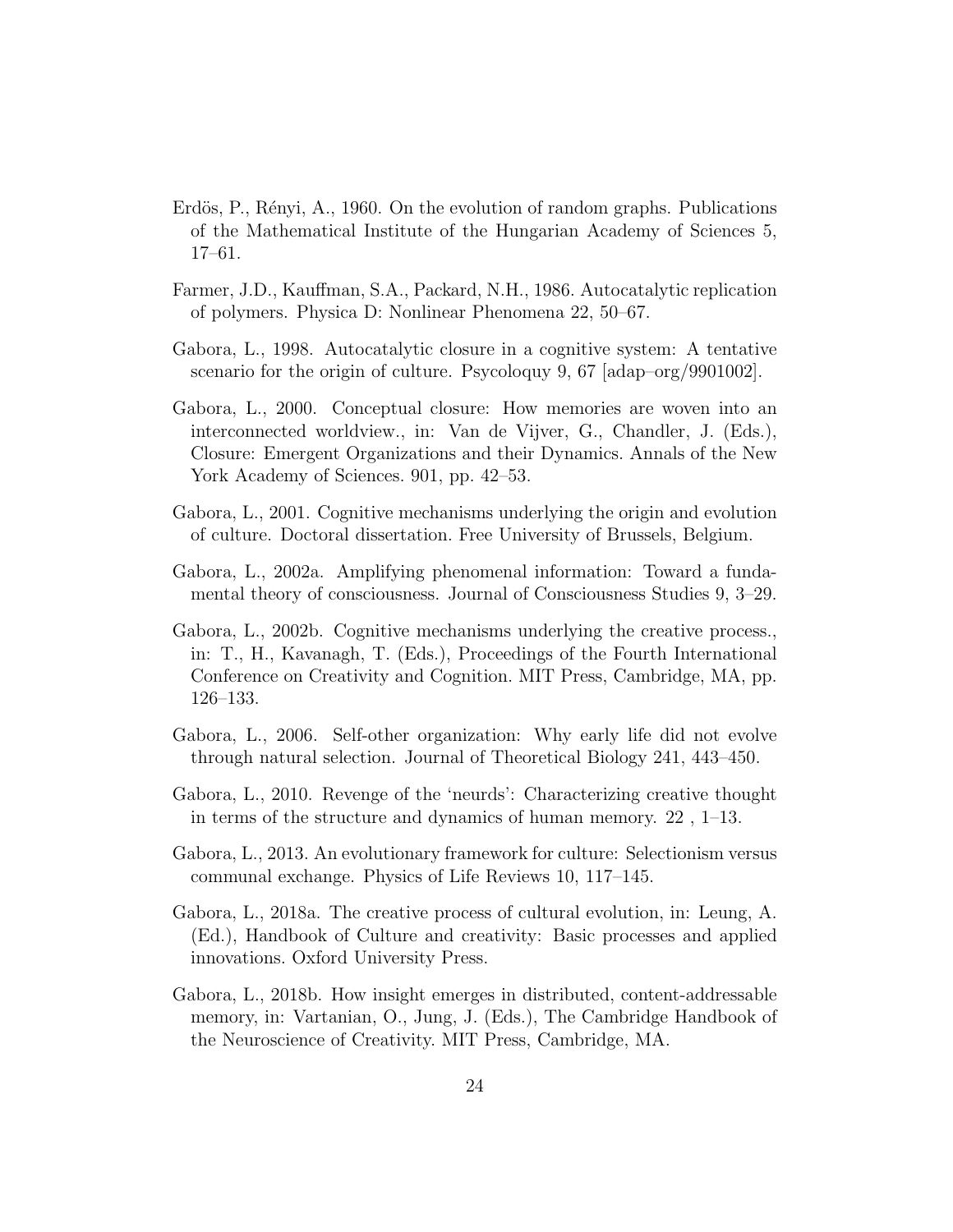- <span id="page-23-2"></span>Erdös, P., Rényi, A., 1960. On the evolution of random graphs. Publications of the Mathematical Institute of the Hungarian Academy of Sciences 5, 17–61.
- <span id="page-23-0"></span>Farmer, J.D., Kauffman, S.A., Packard, N.H., 1986. Autocatalytic replication of polymers. Physica D: Nonlinear Phenomena 22, 50–67.
- <span id="page-23-3"></span>Gabora, L., 1998. Autocatalytic closure in a cognitive system: A tentative scenario for the origin of culture. Psycoloquy 9, 67 [adap–org/9901002].
- <span id="page-23-9"></span>Gabora, L., 2000. Conceptual closure: How memories are woven into an interconnected worldview., in: Van de Vijver, G., Chandler, J. (Eds.), Closure: Emergent Organizations and their Dynamics. Annals of the New York Academy of Sciences. 901, pp. 42–53.
- <span id="page-23-10"></span>Gabora, L., 2001. Cognitive mechanisms underlying the origin and evolution of culture. Doctoral dissertation. Free University of Brussels, Belgium.
- <span id="page-23-11"></span>Gabora, L., 2002a. Amplifying phenomenal information: Toward a fundamental theory of consciousness. Journal of Consciousness Studies 9, 3–29.
- <span id="page-23-5"></span>Gabora, L., 2002b. Cognitive mechanisms underlying the creative process., in: T., H., Kavanagh, T. (Eds.), Proceedings of the Fourth International Conference on Creativity and Cognition. MIT Press, Cambridge, MA, pp. 126–133.
- <span id="page-23-1"></span>Gabora, L., 2006. Self-other organization: Why early life did not evolve through natural selection. Journal of Theoretical Biology 241, 443–450.
- <span id="page-23-6"></span>Gabora, L., 2010. Revenge of the 'neurds': Characterizing creative thought in terms of the structure and dynamics of human memory. 22 , 1–13.
- <span id="page-23-4"></span>Gabora, L., 2013. An evolutionary framework for culture: Selectionism versus communal exchange. Physics of Life Reviews 10, 117–145.
- <span id="page-23-8"></span>Gabora, L., 2018a. The creative process of cultural evolution, in: Leung, A. (Ed.), Handbook of Culture and creativity: Basic processes and applied innovations. Oxford University Press.
- <span id="page-23-7"></span>Gabora, L., 2018b. How insight emerges in distributed, content-addressable memory, in: Vartanian, O., Jung, J. (Eds.), The Cambridge Handbook of the Neuroscience of Creativity. MIT Press, Cambridge, MA.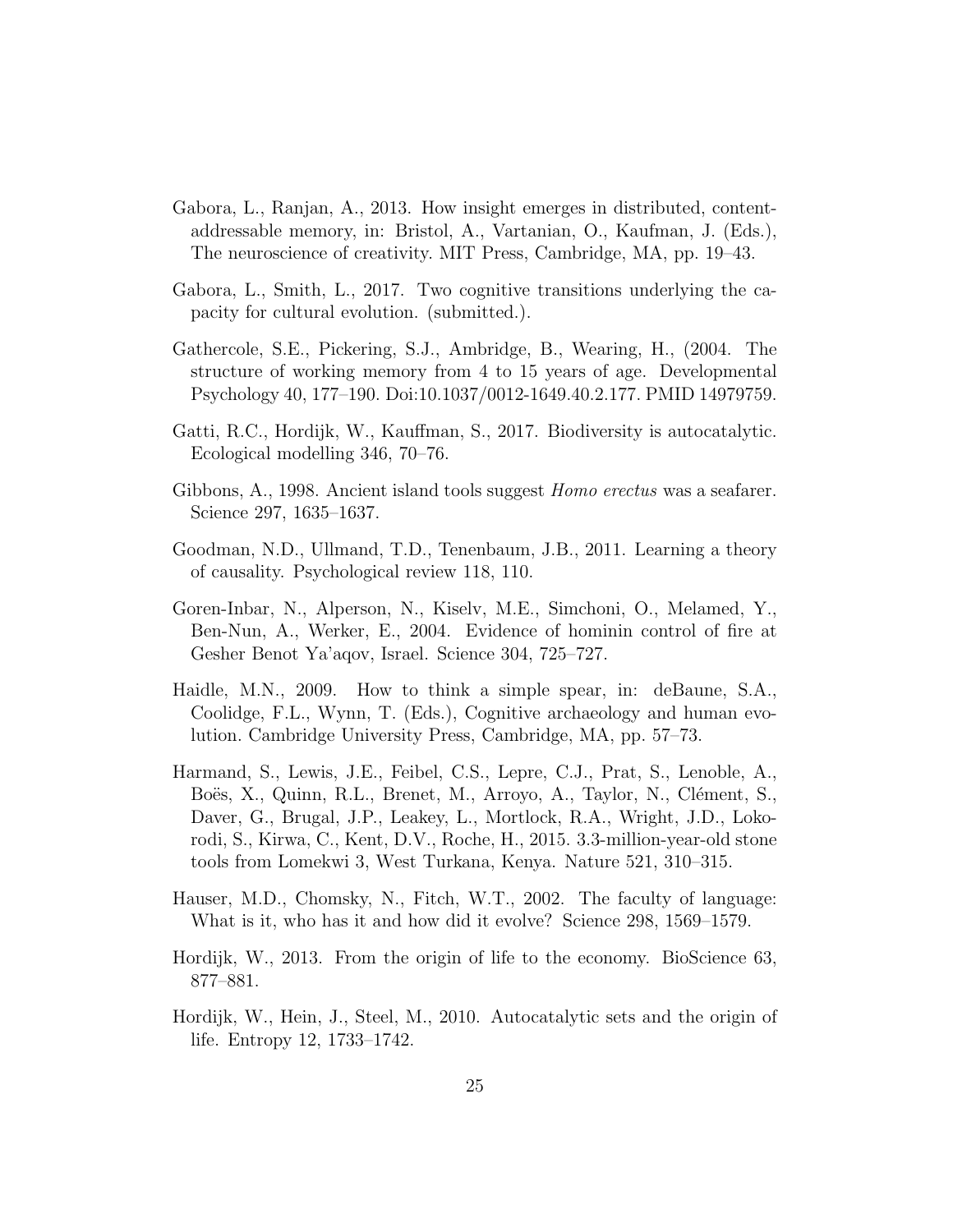- <span id="page-24-0"></span>Gabora, L., Ranjan, A., 2013. How insight emerges in distributed, contentaddressable memory, in: Bristol, A., Vartanian, O., Kaufman, J. (Eds.), The neuroscience of creativity. MIT Press, Cambridge, MA, pp. 19–43.
- <span id="page-24-1"></span>Gabora, L., Smith, L., 2017. Two cognitive transitions underlying the capacity for cultural evolution. (submitted.).
- <span id="page-24-9"></span>Gathercole, S.E., Pickering, S.J., Ambridge, B., Wearing, H., (2004. The structure of working memory from 4 to 15 years of age. Developmental Psychology 40, 177–190. Doi:10.1037/0012-1649.40.2.177. PMID 14979759.
- <span id="page-24-10"></span>Gatti, R.C., Hordijk, W., Kauffman, S., 2017. Biodiversity is autocatalytic. Ecological modelling 346, 70–76.
- <span id="page-24-5"></span>Gibbons, A., 1998. Ancient island tools suggest *Homo erectus* was a seafarer. Science 297, 1635–1637.
- <span id="page-24-8"></span>Goodman, N.D., Ullmand, T.D., Tenenbaum, J.B., 2011. Learning a theory of causality. Psychological review 118, 110.
- <span id="page-24-4"></span>Goren-Inbar, N., Alperson, N., Kiselv, M.E., Simchoni, O., Melamed, Y., Ben-Nun, A., Werker, E., 2004. Evidence of hominin control of fire at Gesher Benot Ya'aqov, Israel. Science 304, 725–727.
- <span id="page-24-3"></span>Haidle, M.N., 2009. How to think a simple spear, in: deBaune, S.A., Coolidge, F.L., Wynn, T. (Eds.), Cognitive archaeology and human evolution. Cambridge University Press, Cambridge, MA, pp. 57–73.
- <span id="page-24-2"></span>Harmand, S., Lewis, J.E., Feibel, C.S., Lepre, C.J., Prat, S., Lenoble, A., Boës, X., Quinn, R.L., Brenet, M., Arroyo, A., Taylor, N., Clément, S., Daver, G., Brugal, J.P., Leakey, L., Mortlock, R.A., Wright, J.D., Lokorodi, S., Kirwa, C., Kent, D.V., Roche, H., 2015. 3.3-million-year-old stone tools from Lomekwi 3, West Turkana, Kenya. Nature 521, 310–315.
- <span id="page-24-6"></span>Hauser, M.D., Chomsky, N., Fitch, W.T., 2002. The faculty of language: What is it, who has it and how did it evolve? Science 298, 1569–1579.
- <span id="page-24-11"></span>Hordijk, W., 2013. From the origin of life to the economy. BioScience 63, 877–881.
- <span id="page-24-7"></span>Hordijk, W., Hein, J., Steel, M., 2010. Autocatalytic sets and the origin of life. Entropy 12, 1733–1742.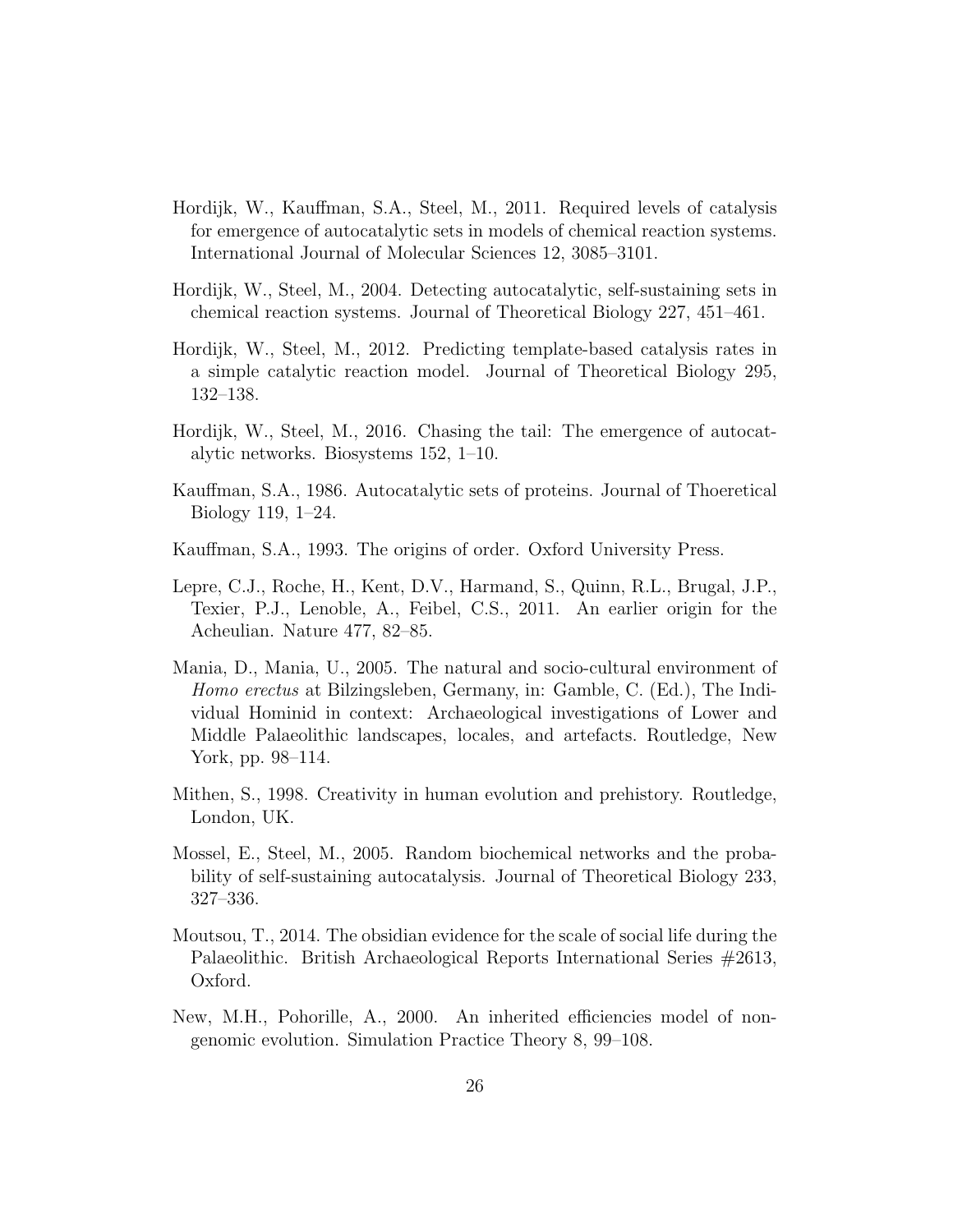- <span id="page-25-8"></span>Hordijk, W., Kauffman, S.A., Steel, M., 2011. Required levels of catalysis for emergence of autocatalytic sets in models of chemical reaction systems. International Journal of Molecular Sciences 12, 3085–3101.
- <span id="page-25-9"></span>Hordijk, W., Steel, M., 2004. Detecting autocatalytic, self-sustaining sets in chemical reaction systems. Journal of Theoretical Biology 227, 451–461.
- <span id="page-25-10"></span>Hordijk, W., Steel, M., 2012. Predicting template-based catalysis rates in a simple catalytic reaction model. Journal of Theoretical Biology 295, 132–138.
- <span id="page-25-7"></span>Hordijk, W., Steel, M., 2016. Chasing the tail: The emergence of autocatalytic networks. Biosystems 152, 1–10.
- <span id="page-25-6"></span>Kauffman, S.A., 1986. Autocatalytic sets of proteins. Journal of Thoeretical Biology 119, 1–24.
- <span id="page-25-0"></span>Kauffman, S.A., 1993. The origins of order. Oxford University Press.
- <span id="page-25-3"></span>Lepre, C.J., Roche, H., Kent, D.V., Harmand, S., Quinn, R.L., Brugal, J.P., Texier, P.J., Lenoble, A., Feibel, C.S., 2011. An earlier origin for the Acheulian. Nature 477, 82–85.
- <span id="page-25-5"></span>Mania, D., Mania, U., 2005. The natural and socio-cultural environment of Homo erectus at Bilzingsleben, Germany, in: Gamble, C. (Ed.), The Individual Hominid in context: Archaeological investigations of Lower and Middle Palaeolithic landscapes, locales, and artefacts. Routledge, New York, pp. 98–114.
- <span id="page-25-2"></span>Mithen, S., 1998. Creativity in human evolution and prehistory. Routledge, London, UK.
- <span id="page-25-11"></span>Mossel, E., Steel, M., 2005. Random biochemical networks and the probability of self-sustaining autocatalysis. Journal of Theoretical Biology 233, 327–336.
- <span id="page-25-4"></span>Moutsou, T., 2014. The obsidian evidence for the scale of social life during the Palaeolithic. British Archaeological Reports International Series #2613, Oxford.
- <span id="page-25-1"></span>New, M.H., Pohorille, A., 2000. An inherited efficiencies model of nongenomic evolution. Simulation Practice Theory 8, 99–108.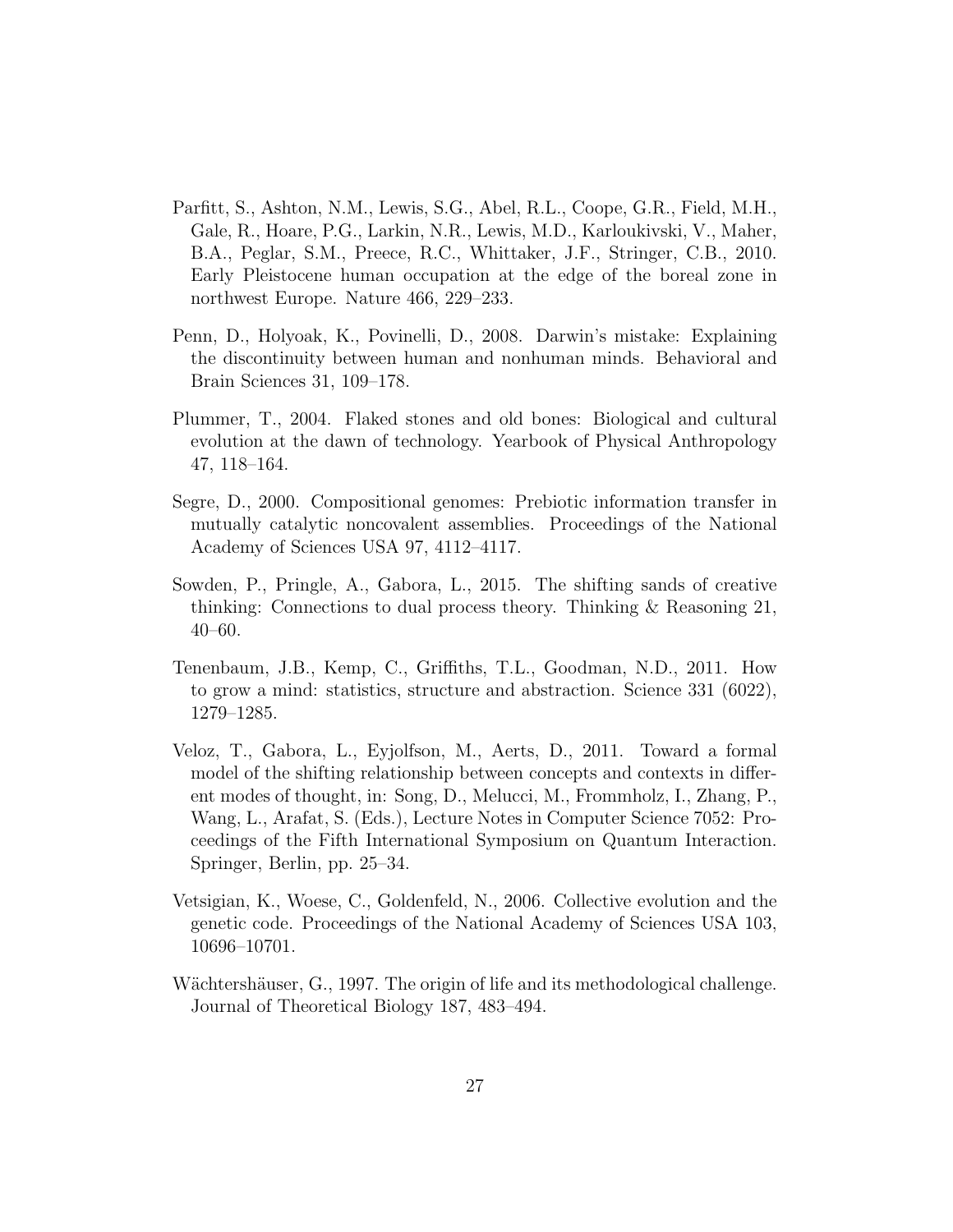- <span id="page-26-4"></span>Parfitt, S., Ashton, N.M., Lewis, S.G., Abel, R.L., Coope, G.R., Field, M.H., Gale, R., Hoare, P.G., Larkin, N.R., Lewis, M.D., Karloukivski, V., Maher, B.A., Peglar, S.M., Preece, R.C., Whittaker, J.F., Stringer, C.B., 2010. Early Pleistocene human occupation at the edge of the boreal zone in northwest Europe. Nature 466, 229–233.
- <span id="page-26-3"></span>Penn, D., Holyoak, K., Povinelli, D., 2008. Darwin's mistake: Explaining the discontinuity between human and nonhuman minds. Behavioral and Brain Sciences 31, 109–178.
- <span id="page-26-5"></span>Plummer, T., 2004. Flaked stones and old bones: Biological and cultural evolution at the dawn of technology. Yearbook of Physical Anthropology 47, 118–164.
- <span id="page-26-0"></span>Segre, D., 2000. Compositional genomes: Prebiotic information transfer in mutually catalytic noncovalent assemblies. Proceedings of the National Academy of Sciences USA 97, 4112–4117.
- <span id="page-26-7"></span>Sowden, P., Pringle, A., Gabora, L., 2015. The shifting sands of creative thinking: Connections to dual process theory. Thinking & Reasoning 21, 40–60.
- <span id="page-26-8"></span>Tenenbaum, J.B., Kemp, C., Griffiths, T.L., Goodman, N.D., 2011. How to grow a mind: statistics, structure and abstraction. Science 331 (6022), 1279–1285.
- <span id="page-26-6"></span>Veloz, T., Gabora, L., Eyjolfson, M., Aerts, D., 2011. Toward a formal model of the shifting relationship between concepts and contexts in different modes of thought, in: Song, D., Melucci, M., Frommholz, I., Zhang, P., Wang, L., Arafat, S. (Eds.), Lecture Notes in Computer Science 7052: Proceedings of the Fifth International Symposium on Quantum Interaction. Springer, Berlin, pp. 25–34.
- <span id="page-26-1"></span>Vetsigian, K., Woese, C., Goldenfeld, N., 2006. Collective evolution and the genetic code. Proceedings of the National Academy of Sciences USA 103, 10696–10701.
- <span id="page-26-2"></span>Wächtershäuser, G., 1997. The origin of life and its methodological challenge. Journal of Theoretical Biology 187, 483–494.